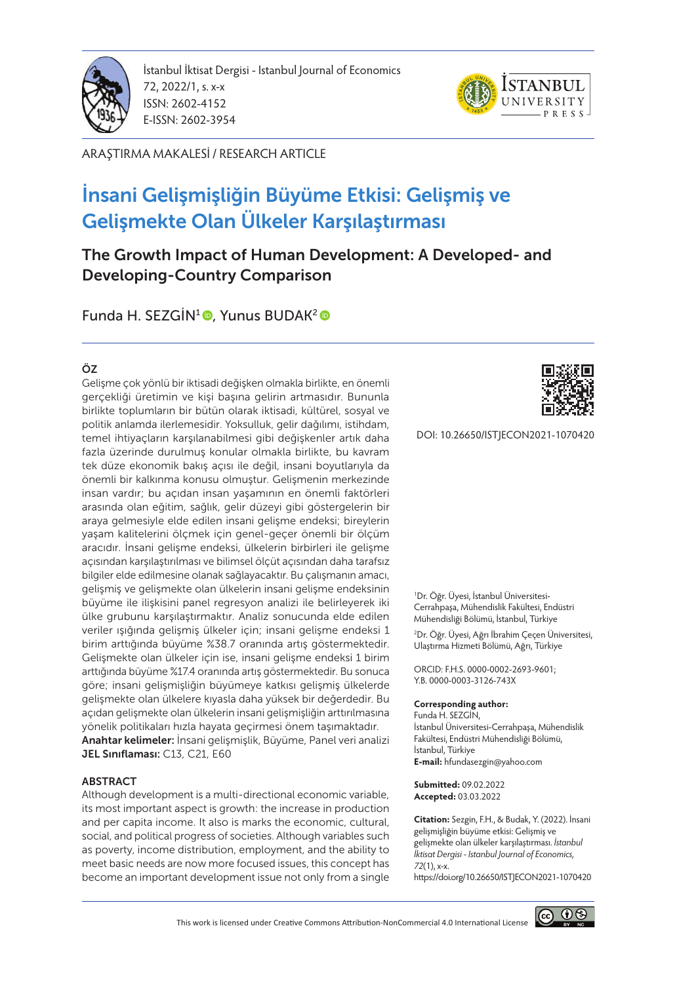

İstanbul İktisat Dergisi - Istanbul Journal of Economics 72, 2022/1, s. x-x ISSN: 2602-4152 E-ISSN: 2602-3954



ARAŞTIRMA MAKALESİ / RESEARCH ARTICLE

# İnsani Gelişmişliğin Büyüme Etkisi: Gelişmiş ve Gelişmekte Olan Ülkeler Karşılaştırması

The Growth Impact of Human Development: A Developed- and Developing-Country Comparison

Funda H. SEZGİN<sup>1</sup> , Yunus BUDAK<sup>2</sup>

#### ÖZ

Gelişme çok yönlü bir iktisadi değişken olmakla birlikte, en önemli gerçekliği üretimin ve kişi başına gelirin artmasıdır. Bununla birlikte toplumların bir bütün olarak iktisadi, kültürel, sosyal ve politik anlamda ilerlemesidir. Yoksulluk, gelir dağılımı, istihdam, temel ihtiyaçların karşılanabilmesi gibi değişkenler artık daha fazla üzerinde durulmuş konular olmakla birlikte, bu kavram tek düze ekonomik bakış açısı ile değil, insani boyutlarıyla da önemli bir kalkınma konusu olmuştur. Gelişmenin merkezinde insan vardır; bu açıdan insan yaşamının en önemli faktörleri arasında olan eğitim, sağlık, gelir düzeyi gibi göstergelerin bir araya gelmesiyle elde edilen insani gelişme endeksi; bireylerin yaşam kalitelerini ölçmek için genel-geçer önemli bir ölçüm aracıdır. İnsani gelişme endeksi, ülkelerin birbirleri ile gelişme açısından karşılaştırılması ve bilimsel ölçüt açısından daha tarafsız bilgiler elde edilmesine olanak sağlayacaktır. Bu çalışmanın amacı, gelişmiş ve gelişmekte olan ülkelerin insani gelişme endeksinin büyüme ile ilişkisini panel regresyon analizi ile belirleyerek iki ülke grubunu karşılaştırmaktır. Analiz sonucunda elde edilen veriler ışığında gelişmiş ülkeler için; insani gelişme endeksi 1 birim arttığında büyüme %38.7 oranında artış göstermektedir. Gelişmekte olan ülkeler için ise, insani gelişme endeksi 1 birim arttığında büyüme %17.4 oranında artış göstermektedir. Bu sonuca göre; insani gelişmişliğin büyümeye katkısı gelişmiş ülkelerde gelişmekte olan ülkelere kıyasla daha yüksek bir değerdedir. Bu açıdan gelişmekte olan ülkelerin insani gelişmişliğin arttırılmasına yönelik politikaları hızla hayata geçirmesi önem taşımaktadır. Anahtar kelimeler: İnsani gelişmişlik, Büyüme, Panel veri analizi JEL Sınıflaması: C13, C21, E60

#### **ABSTRACT**

Although development is a multi-directional economic variable, its most important aspect is growth: the increase in production and per capita income. It also is marks the economic, cultural, social, and political progress of societies. Although variables such as poverty, income distribution, employment, and the ability to meet basic needs are now more focused issues, this concept has become an important development issue not only from a single



DOI: 10.26650/ISTJECON2021-1070420

1 Dr. Öğr. Üyesi, İstanbul Üniversitesi-Cerrahpaşa, Mühendislik Fakültesi, Endüstri Mühendisliği Bölümü, İstanbul, Türkiye

2 Dr. Öğr. Üyesi, Ağrı İbrahim Çeçen Üniversitesi, Ulaştırma Hizmeti Bölümü, Ağrı, Türkiye

ORCID: F.H.S. 0000-0002-2693-9601; Y.B. 0000-0003-3126-743X

#### **Corresponding author:**

Funda H. SEZGİN, İstanbul Üniversitesi-Cerrahpaşa, Mühendislik Fakültesi, Endüstri Mühendisliği Bölümü, İstanbul, Türkiye **E-mail:** hfundasezgin@yahoo.com

**Submitted:** 09.02.2022 **Accepted:** 03.03.2022

**Citation:** Sezgin, F.H., & Budak, Y. (2022). İnsani gelişmişliğin büyüme etkisi: Gelişmiş ve gelişmekte olan ülkeler karşılaştırması. *İstanbul İktisat Dergisi - Istanbul Journal of Economics, 72*(1), x-x. https://doi.org/10.26650/ISTJECON2021-1070420

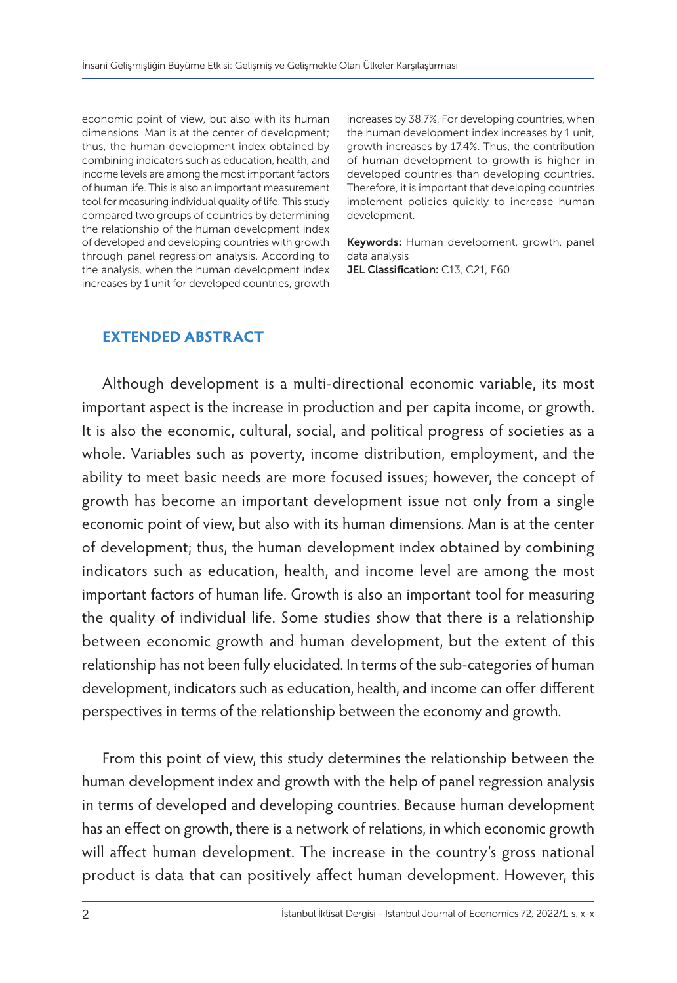economic point of view, but also with its human dimensions. Man is at the center of development; thus, the human development index obtained by combining indicators such as education, health, and income levels are among the most important factors of human life. This is also an important measurement tool for measuring individual quality of life. This study compared two groups of countries by determining the relationship of the human development index of developed and developing countries with growth through panel regression analysis. According to the analysis, when the human development index increases by 1 unit for developed countries, growth

increases by 38.7%. For developing countries, when the human development index increases by 1 unit, growth increases by 17.4%. Thus, the contribution of human development to growth is higher in developed countries than developing countries. Therefore, it is important that developing countries implement policies quickly to increase human development.

Keywords: Human development, growth, panel data analysis

JEL Classification: C13, C21, E60

#### **EXTENDED ABSTRACT**

Although development is a multi-directional economic variable, its most important aspect is the increase in production and per capita income, or growth. It is also the economic, cultural, social, and political progress of societies as a whole. Variables such as poverty, income distribution, employment, and the ability to meet basic needs are more focused issues; however, the concept of growth has become an important development issue not only from a single economic point of view, but also with its human dimensions. Man is at the center of development; thus, the human development index obtained by combining indicators such as education, health, and income level are among the most important factors of human life. Growth is also an important tool for measuring the quality of individual life. Some studies show that there is a relationship between economic growth and human development, but the extent of this relationship has not been fully elucidated. In terms of the sub-categories of human development, indicators such as education, health, and income can offer different perspectives in terms of the relationship between the economy and growth.

From this point of view, this study determines the relationship between the human development index and growth with the help of panel regression analysis in terms of developed and developing countries. Because human development has an effect on growth, there is a network of relations, in which economic growth will affect human development. The increase in the country's gross national product is data that can positively affect human development. However, this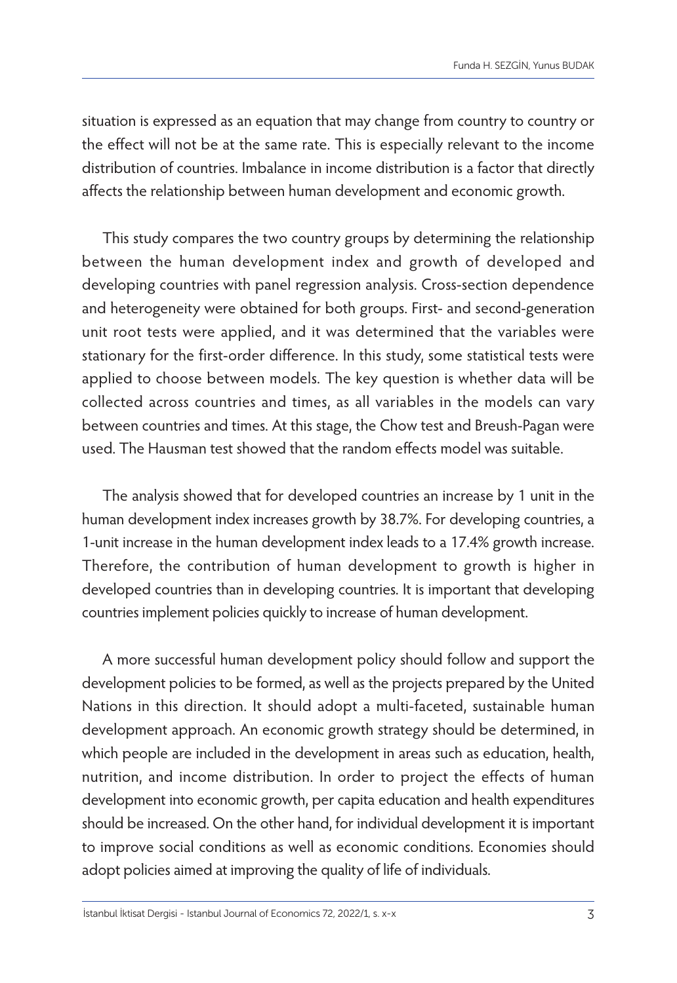situation is expressed as an equation that may change from country to country or the effect will not be at the same rate. This is especially relevant to the income distribution of countries. Imbalance in income distribution is a factor that directly affects the relationship between human development and economic growth.

This study compares the two country groups by determining the relationship between the human development index and growth of developed and developing countries with panel regression analysis. Cross-section dependence and heterogeneity were obtained for both groups. First- and second-generation unit root tests were applied, and it was determined that the variables were stationary for the first-order difference. In this study, some statistical tests were applied to choose between models. The key question is whether data will be collected across countries and times, as all variables in the models can vary between countries and times. At this stage, the Chow test and Breush-Pagan were used. The Hausman test showed that the random effects model was suitable.

The analysis showed that for developed countries an increase by 1 unit in the human development index increases growth by 38.7%. For developing countries, a 1-unit increase in the human development index leads to a 17.4% growth increase. Therefore, the contribution of human development to growth is higher in developed countries than in developing countries. It is important that developing countries implement policies quickly to increase of human development.

A more successful human development policy should follow and support the development policies to be formed, as well as the projects prepared by the United Nations in this direction. It should adopt a multi-faceted, sustainable human development approach. An economic growth strategy should be determined, in which people are included in the development in areas such as education, health, nutrition, and income distribution. In order to project the effects of human development into economic growth, per capita education and health expenditures should be increased. On the other hand, for individual development it is important to improve social conditions as well as economic conditions. Economies should adopt policies aimed at improving the quality of life of individuals.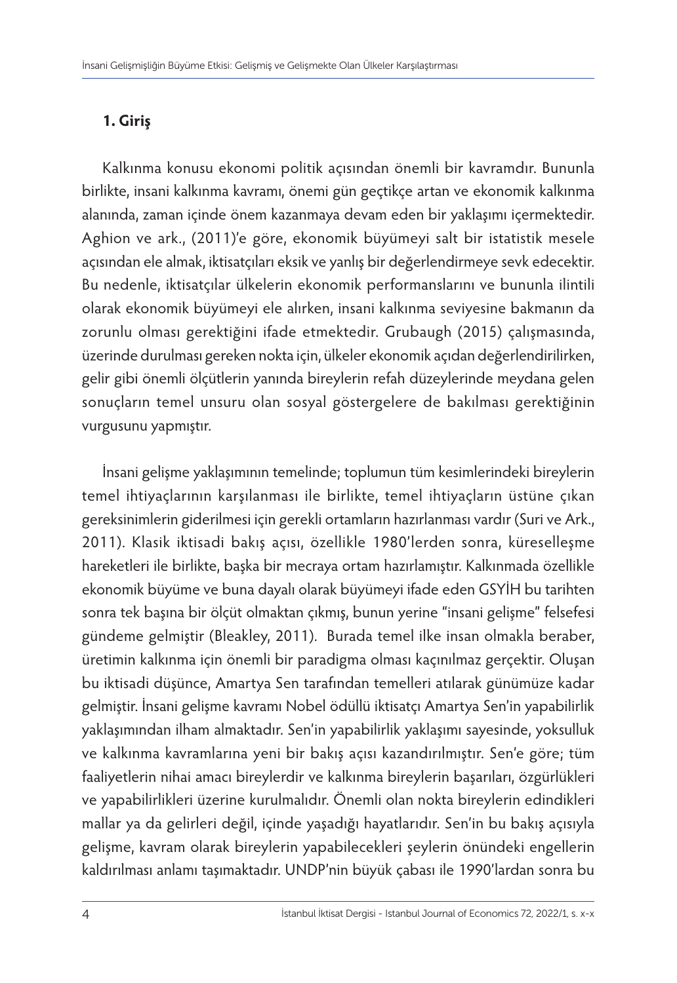# **1. Giriş**

Kalkınma konusu ekonomi politik açısından önemli bir kavramdır. Bununla birlikte, insani kalkınma kavramı, önemi gün geçtikçe artan ve ekonomik kalkınma alanında, zaman içinde önem kazanmaya devam eden bir yaklaşımı içermektedir. Aghion ve ark., (2011)'e göre, ekonomik büyümeyi salt bir istatistik mesele açısından ele almak, iktisatçıları eksik ve yanlış bir değerlendirmeye sevk edecektir. Bu nedenle, iktisatçılar ülkelerin ekonomik performanslarını ve bununla ilintili olarak ekonomik büyümeyi ele alırken, insani kalkınma seviyesine bakmanın da zorunlu olması gerektiğini ifade etmektedir. Grubaugh (2015) çalışmasında, üzerinde durulması gereken nokta için, ülkeler ekonomik açıdan değerlendirilirken, gelir gibi önemli ölçütlerin yanında bireylerin refah düzeylerinde meydana gelen sonuçların temel unsuru olan sosyal göstergelere de bakılması gerektiğinin vurgusunu yapmıştır.

İnsani gelişme yaklaşımının temelinde; toplumun tüm kesimlerindeki bireylerin temel ihtiyaçlarının karşılanması ile birlikte, temel ihtiyaçların üstüne çıkan gereksinimlerin giderilmesi için gerekli ortamların hazırlanması vardır (Suri ve Ark., 2011). Klasik iktisadi bakış açısı, özellikle 1980'lerden sonra, küreselleşme hareketleri ile birlikte, başka bir mecraya ortam hazırlamıştır. Kalkınmada özellikle ekonomik büyüme ve buna dayalı olarak büyümeyi ifade eden GSYİH bu tarihten sonra tek başına bir ölçüt olmaktan çıkmış, bunun yerine "insani gelişme" felsefesi gündeme gelmiştir (Bleakley, 2011). Burada temel ilke insan olmakla beraber, üretimin kalkınma için önemli bir paradigma olması kaçınılmaz gerçektir. Oluşan bu iktisadi düşünce, Amartya Sen tarafından temelleri atılarak günümüze kadar gelmiştir. İnsani gelişme kavramı Nobel ödüllü iktisatçı Amartya Sen'in yapabilirlik yaklaşımından ilham almaktadır. Sen'in yapabilirlik yaklaşımı sayesinde, yoksulluk ve kalkınma kavramlarına yeni bir bakış açısı kazandırılmıştır. Sen'e göre; tüm faaliyetlerin nihai amacı bireylerdir ve kalkınma bireylerin başarıları, özgürlükleri ve yapabilirlikleri üzerine kurulmalıdır. Önemli olan nokta bireylerin edindikleri mallar ya da gelirleri değil, içinde yaşadığı hayatlarıdır. Sen'in bu bakış açısıyla gelişme, kavram olarak bireylerin yapabilecekleri şeylerin önündeki engellerin kaldırılması anlamı taşımaktadır. UNDP'nin büyük çabası ile 1990'lardan sonra bu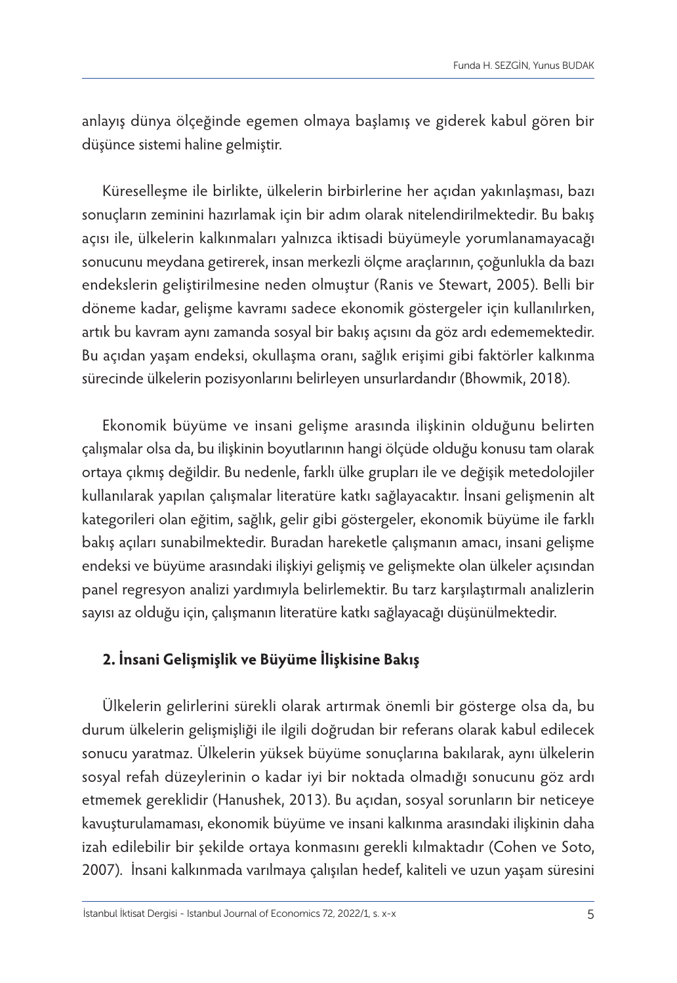anlayış dünya ölçeğinde egemen olmaya başlamış ve giderek kabul gören bir düşünce sistemi haline gelmiştir.

Küreselleşme ile birlikte, ülkelerin birbirlerine her açıdan yakınlaşması, bazı sonuçların zeminini hazırlamak için bir adım olarak nitelendirilmektedir. Bu bakış açısı ile, ülkelerin kalkınmaları yalnızca iktisadi büyümeyle yorumlanamayacağı sonucunu meydana getirerek, insan merkezli ölçme araçlarının, çoğunlukla da bazı endekslerin geliştirilmesine neden olmuştur (Ranis ve Stewart, 2005). Belli bir döneme kadar, gelişme kavramı sadece ekonomik göstergeler için kullanılırken, artık bu kavram aynı zamanda sosyal bir bakış açısını da göz ardı edememektedir. Bu açıdan yaşam endeksi, okullaşma oranı, sağlık erişimi gibi faktörler kalkınma sürecinde ülkelerin pozisyonlarını belirleyen unsurlardandır (Bhowmik, 2018).

Ekonomik büyüme ve insani gelişme arasında ilişkinin olduğunu belirten çalışmalar olsa da, bu ilişkinin boyutlarının hangi ölçüde olduğu konusu tam olarak ortaya çıkmış değildir. Bu nedenle, farklı ülke grupları ile ve değişik metedolojiler kullanılarak yapılan çalışmalar literatüre katkı sağlayacaktır. İnsani gelişmenin alt kategorileri olan eğitim, sağlık, gelir gibi göstergeler, ekonomik büyüme ile farklı bakış açıları sunabilmektedir. Buradan hareketle çalışmanın amacı, insani gelişme endeksi ve büyüme arasındaki ilişkiyi gelişmiş ve gelişmekte olan ülkeler açısından panel regresyon analizi yardımıyla belirlemektir. Bu tarz karşılaştırmalı analizlerin sayısı az olduğu için, çalışmanın literatüre katkı sağlayacağı düşünülmektedir.

# **2. İnsani Gelişmişlik ve Büyüme İlişkisine Bakış**

Ülkelerin gelirlerini sürekli olarak artırmak önemli bir gösterge olsa da, bu durum ülkelerin gelişmişliği ile ilgili doğrudan bir referans olarak kabul edilecek sonucu yaratmaz. Ülkelerin yüksek büyüme sonuçlarına bakılarak, aynı ülkelerin sosyal refah düzeylerinin o kadar iyi bir noktada olmadığı sonucunu göz ardı etmemek gereklidir (Hanushek, 2013). Bu açıdan, sosyal sorunların bir neticeye kavuşturulamaması, ekonomik büyüme ve insani kalkınma arasındaki ilişkinin daha izah edilebilir bir şekilde ortaya konmasını gerekli kılmaktadır (Cohen ve Soto, 2007). İnsani kalkınmada varılmaya çalışılan hedef, kaliteli ve uzun yaşam süresini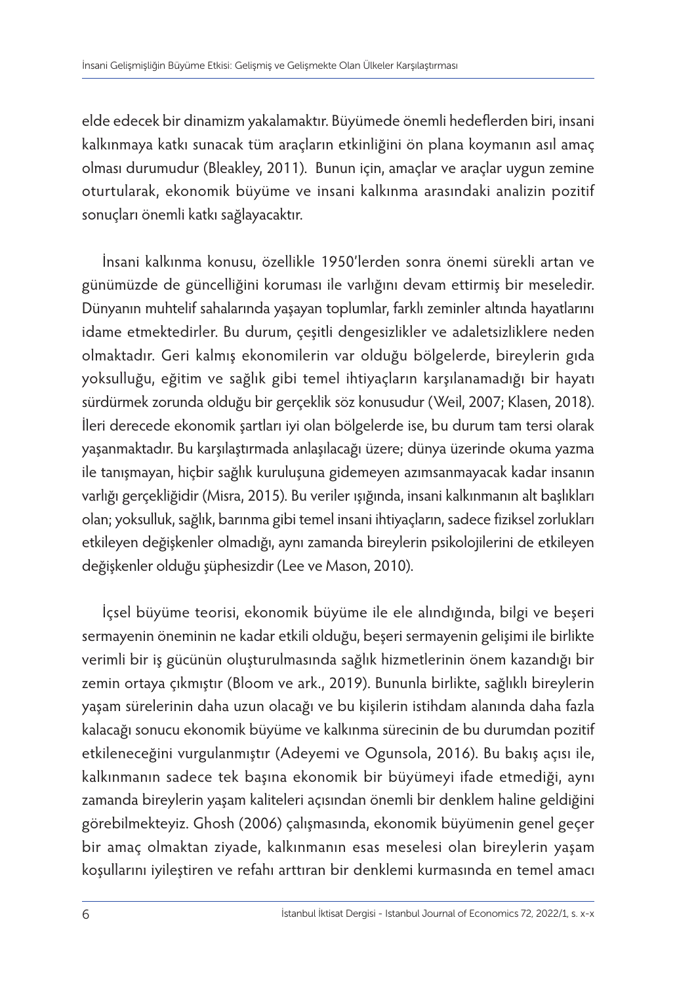elde edecek bir dinamizm yakalamaktır. Büyümede önemli hedeflerden biri, insani kalkınmaya katkı sunacak tüm araçların etkinliğini ön plana koymanın asıl amaç olması durumudur (Bleakley, 2011). Bunun için, amaçlar ve araçlar uygun zemine oturtularak, ekonomik büyüme ve insani kalkınma arasındaki analizin pozitif sonuçları önemli katkı sağlayacaktır.

İnsani kalkınma konusu, özellikle 1950'lerden sonra önemi sürekli artan ve günümüzde de güncelliğini koruması ile varlığını devam ettirmiş bir meseledir. Dünyanın muhtelif sahalarında yaşayan toplumlar, farklı zeminler altında hayatlarını idame etmektedirler. Bu durum, çeşitli dengesizlikler ve adaletsizliklere neden olmaktadır. Geri kalmış ekonomilerin var olduğu bölgelerde, bireylerin gıda yoksulluğu, eğitim ve sağlık gibi temel ihtiyaçların karşılanamadığı bir hayatı sürdürmek zorunda olduğu bir gerçeklik söz konusudur (Weil, 2007; Klasen, 2018). İleri derecede ekonomik şartları iyi olan bölgelerde ise, bu durum tam tersi olarak yaşanmaktadır. Bu karşılaştırmada anlaşılacağı üzere; dünya üzerinde okuma yazma ile tanışmayan, hiçbir sağlık kuruluşuna gidemeyen azımsanmayacak kadar insanın varlığı gerçekliğidir (Misra, 2015). Bu veriler ışığında, insani kalkınmanın alt başlıkları olan; yoksulluk, sağlık, barınma gibi temel insani ihtiyaçların, sadece fiziksel zorlukları etkileyen değişkenler olmadığı, aynı zamanda bireylerin psikolojilerini de etkileyen değişkenler olduğu şüphesizdir (Lee ve Mason, 2010).

İçsel büyüme teorisi, ekonomik büyüme ile ele alındığında, bilgi ve beşeri sermayenin öneminin ne kadar etkili olduğu, beşeri sermayenin gelişimi ile birlikte verimli bir iş gücünün oluşturulmasında sağlık hizmetlerinin önem kazandığı bir zemin ortaya çıkmıştır (Bloom ve ark., 2019). Bununla birlikte, sağlıklı bireylerin yaşam sürelerinin daha uzun olacağı ve bu kişilerin istihdam alanında daha fazla kalacağı sonucu ekonomik büyüme ve kalkınma sürecinin de bu durumdan pozitif etkileneceğini vurgulanmıştır (Adeyemi ve Ogunsola, 2016). Bu bakış açısı ile, kalkınmanın sadece tek başına ekonomik bir büyümeyi ifade etmediği, aynı zamanda bireylerin yaşam kaliteleri açısından önemli bir denklem haline geldiğini görebilmekteyiz. Ghosh (2006) çalışmasında, ekonomik büyümenin genel geçer bir amaç olmaktan ziyade, kalkınmanın esas meselesi olan bireylerin yaşam koşullarını iyileştiren ve refahı arttıran bir denklemi kurmasında en temel amacı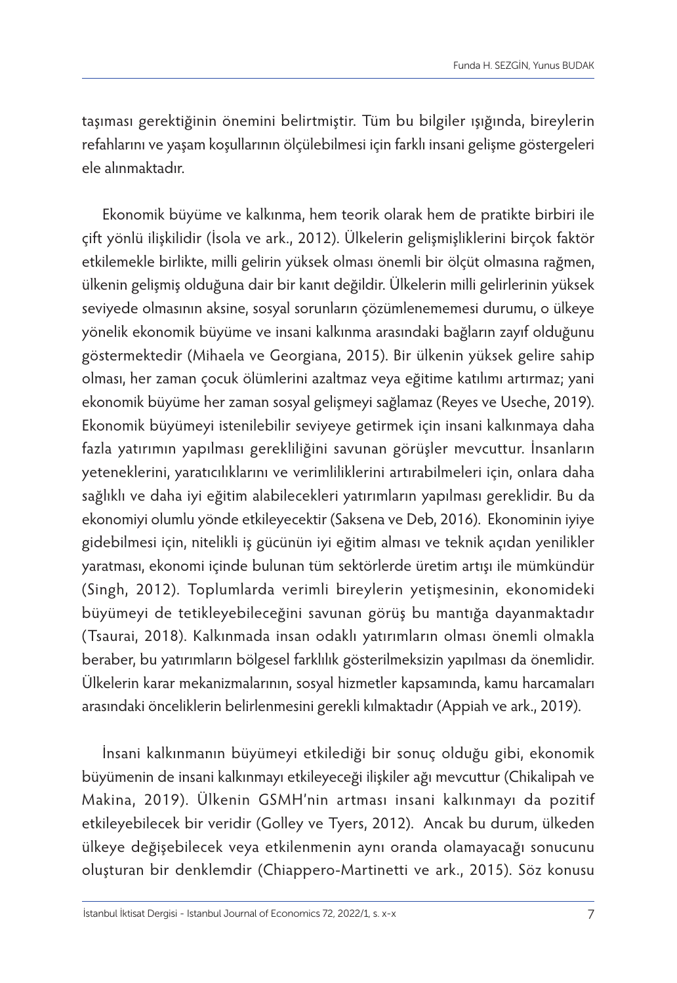taşıması gerektiğinin önemini belirtmiştir. Tüm bu bilgiler ışığında, bireylerin refahlarını ve yaşam koşullarının ölçülebilmesi için farklı insani gelişme göstergeleri ele alınmaktadır.

Ekonomik büyüme ve kalkınma, hem teorik olarak hem de pratikte birbiri ile çift yönlü ilişkilidir (İsola ve ark., 2012). Ülkelerin gelişmişliklerini birçok faktör etkilemekle birlikte, milli gelirin yüksek olması önemli bir ölçüt olmasına rağmen, ülkenin gelişmiş olduğuna dair bir kanıt değildir. Ülkelerin milli gelirlerinin yüksek seviyede olmasının aksine, sosyal sorunların çözümlenememesi durumu, o ülkeye yönelik ekonomik büyüme ve insani kalkınma arasındaki bağların zayıf olduğunu göstermektedir (Mihaela ve Georgiana, 2015). Bir ülkenin yüksek gelire sahip olması, her zaman çocuk ölümlerini azaltmaz veya eğitime katılımı artırmaz; yani ekonomik büyüme her zaman sosyal gelişmeyi sağlamaz (Reyes ve Useche, 2019). Ekonomik büyümeyi istenilebilir seviyeye getirmek için insani kalkınmaya daha fazla yatırımın yapılması gerekliliğini savunan görüşler mevcuttur. İnsanların yeteneklerini, yaratıcılıklarını ve verimliliklerini artırabilmeleri için, onlara daha sağlıklı ve daha iyi eğitim alabilecekleri yatırımların yapılması gereklidir. Bu da ekonomiyi olumlu yönde etkileyecektir (Saksena ve Deb, 2016). Ekonominin iyiye gidebilmesi için, nitelikli iş gücünün iyi eğitim alması ve teknik açıdan yenilikler yaratması, ekonomi içinde bulunan tüm sektörlerde üretim artışı ile mümkündür (Singh, 2012). Toplumlarda verimli bireylerin yetişmesinin, ekonomideki büyümeyi de tetikleyebileceğini savunan görüş bu mantığa dayanmaktadır (Tsaurai, 2018). Kalkınmada insan odaklı yatırımların olması önemli olmakla beraber, bu yatırımların bölgesel farklılık gösterilmeksizin yapılması da önemlidir. Ülkelerin karar mekanizmalarının, sosyal hizmetler kapsamında, kamu harcamaları arasındaki önceliklerin belirlenmesini gerekli kılmaktadır (Appiah ve ark., 2019).

İnsani kalkınmanın büyümeyi etkilediği bir sonuç olduğu gibi, ekonomik büyümenin de insani kalkınmayı etkileyeceği ilişkiler ağı mevcuttur (Chikalipah ve Makina, 2019). Ülkenin GSMH'nin artması insani kalkınmayı da pozitif etkileyebilecek bir veridir (Golley ve Tyers, 2012). Ancak bu durum, ülkeden ülkeye değişebilecek veya etkilenmenin aynı oranda olamayacağı sonucunu oluşturan bir denklemdir (Chiappero-Martinetti ve ark., 2015). Söz konusu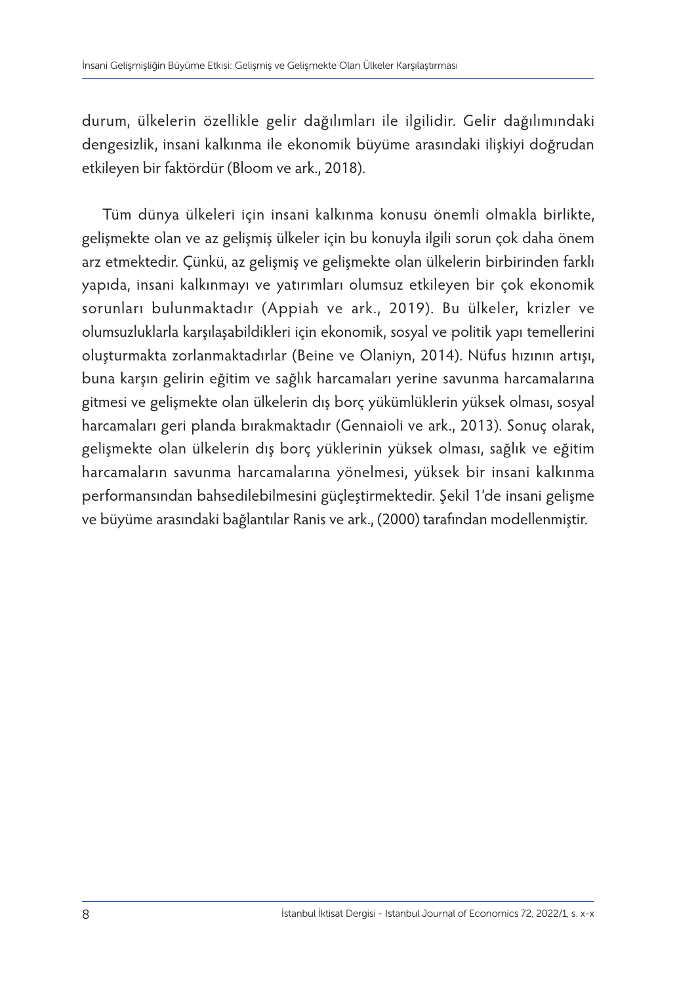durum, ülkelerin özellikle gelir dağılımları ile ilgilidir. Gelir dağılımındaki dengesizlik, insani kalkınma ile ekonomik büyüme arasındaki ilişkiyi doğrudan etkileyen bir faktördür (Bloom ve ark., 2018).

Tüm dünya ülkeleri için insani kalkınma konusu önemli olmakla birlikte, gelişmekte olan ve az gelişmiş ülkeler için bu konuyla ilgili sorun çok daha önem arz etmektedir. Çünkü, az gelişmiş ve gelişmekte olan ülkelerin birbirinden farklı yapıda, insani kalkınmayı ve yatırımları olumsuz etkileyen bir çok ekonomik sorunları bulunmaktadır (Appiah ve ark., 2019). Bu ülkeler, krizler ve olumsuzluklarla karşılaşabildikleri için ekonomik, sosyal ve politik yapı temellerini oluşturmakta zorlanmaktadırlar (Beine ve Olaniyn, 2014). Nüfus hızının artışı, buna karşın gelirin eğitim ve sağlık harcamaları yerine savunma harcamalarına gitmesi ve gelişmekte olan ülkelerin dış borç yükümlüklerin yüksek olması, sosyal harcamaları geri planda bırakmaktadır (Gennaioli ve ark., 2013). Sonuç olarak, gelişmekte olan ülkelerin dış borç yüklerinin yüksek olması, sağlık ve eğitim harcamaların savunma harcamalarına yönelmesi, yüksek bir insani kalkınma performansından bahsedilebilmesini güçleştirmektedir. Şekil 1'de insani gelişme ve büyüme arasındaki bağlantılar Ranis ve ark., (2000) tarafından modellenmiştir.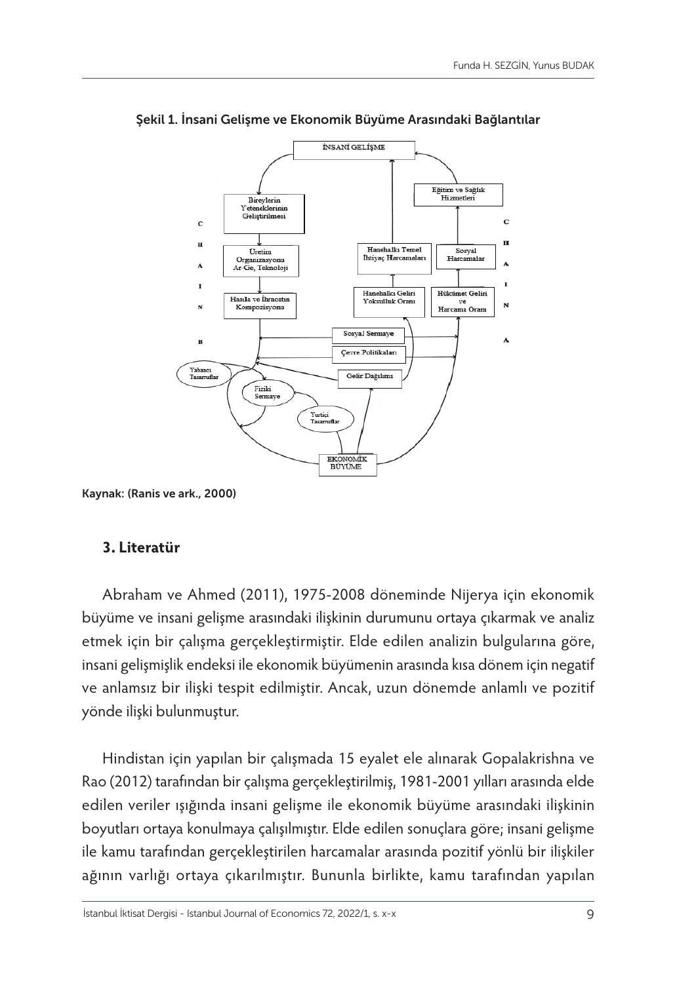

Şekil 1. İnsani Gelişme ve Ekonomik Büyüme Arasındaki Bağlantılar

# **3. Literatür**

Abraham ve Ahmed (2011), 1975-2008 döneminde Nijerya için ekonomik büyüme ve insani gelişme arasındaki ilişkinin durumunu ortaya çıkarmak ve analiz etmek için bir çalışma gerçekleştirmiştir. Elde edilen analizin bulgularına göre, insani gelişmişlik endeksi ile ekonomik büyümenin arasında kısa dönem için negatif ve anlamsız bir ilişki tespit edilmiştir. Ancak, uzun dönemde anlamlı ve pozitif yönde ilişki bulunmuştur.

Hindistan için yapılan bir çalışmada 15 eyalet ele alınarak Gopalakrishna ve Rao (2012) tarafından bir çalışma gerçekleştirilmiş, 1981-2001 yılları arasında elde edilen veriler ışığında insani gelişme ile ekonomik büyüme arasındaki ilişkinin boyutları ortaya konulmaya çalışılmıştır. Elde edilen sonuçlara göre; insani gelişme ile kamu tarafından gerçekleştirilen harcamalar arasında pozitif yönlü bir ilişkiler ağının varlığı ortaya çıkarılmıştır. Bununla birlikte, kamu tarafından yapılan

Kaynak: (Ranis ve ark., 2000)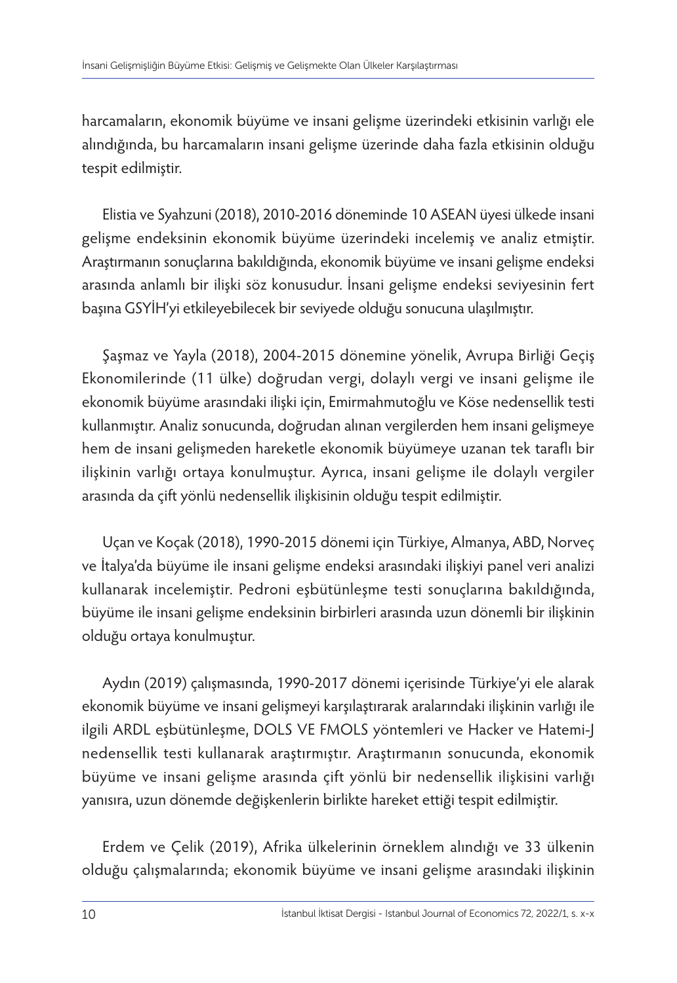harcamaların, ekonomik büyüme ve insani gelişme üzerindeki etkisinin varlığı ele alındığında, bu harcamaların insani gelişme üzerinde daha fazla etkisinin olduğu tespit edilmiştir.

Elistia ve Syahzuni (2018), 2010-2016 döneminde 10 ASEAN üyesi ülkede insani gelişme endeksinin ekonomik büyüme üzerindeki incelemiş ve analiz etmiştir. Araştırmanın sonuçlarına bakıldığında, ekonomik büyüme ve insani gelişme endeksi arasında anlamlı bir ilişki söz konusudur. İnsani gelişme endeksi seviyesinin fert başına GSYİH'yi etkileyebilecek bir seviyede olduğu sonucuna ulaşılmıştır.

Şaşmaz ve Yayla (2018), 2004-2015 dönemine yönelik, Avrupa Birliği Geçiş Ekonomilerinde (11 ülke) doğrudan vergi, dolaylı vergi ve insani gelişme ile ekonomik büyüme arasındaki ilişki için, Emirmahmutoğlu ve Köse nedensellik testi kullanmıştır. Analiz sonucunda, doğrudan alınan vergilerden hem insani gelişmeye hem de insani gelişmeden hareketle ekonomik büyümeye uzanan tek taraflı bir ilişkinin varlığı ortaya konulmuştur. Ayrıca, insani gelişme ile dolaylı vergiler arasında da çift yönlü nedensellik ilişkisinin olduğu tespit edilmiştir.

Uçan ve Koçak (2018), 1990-2015 dönemi için Türkiye, Almanya, ABD, Norveç ve İtalya'da büyüme ile insani gelişme endeksi arasındaki ilişkiyi panel veri analizi kullanarak incelemiştir. Pedroni eşbütünleşme testi sonuçlarına bakıldığında, büyüme ile insani gelişme endeksinin birbirleri arasında uzun dönemli bir ilişkinin olduğu ortaya konulmuştur.

Aydın (2019) çalışmasında, 1990-2017 dönemi içerisinde Türkiye'yi ele alarak ekonomik büyüme ve insani gelişmeyi karşılaştırarak aralarındaki ilişkinin varlığı ile ilgili ARDL eşbütünleşme, DOLS VE FMOLS yöntemleri ve Hacker ve Hatemi-J nedensellik testi kullanarak araştırmıştır. Araştırmanın sonucunda, ekonomik büyüme ve insani gelişme arasında çift yönlü bir nedensellik ilişkisini varlığı yanısıra, uzun dönemde değişkenlerin birlikte hareket ettiği tespit edilmiştir.

Erdem ve Çelik (2019), Afrika ülkelerinin örneklem alındığı ve 33 ülkenin olduğu çalışmalarında; ekonomik büyüme ve insani gelişme arasındaki ilişkinin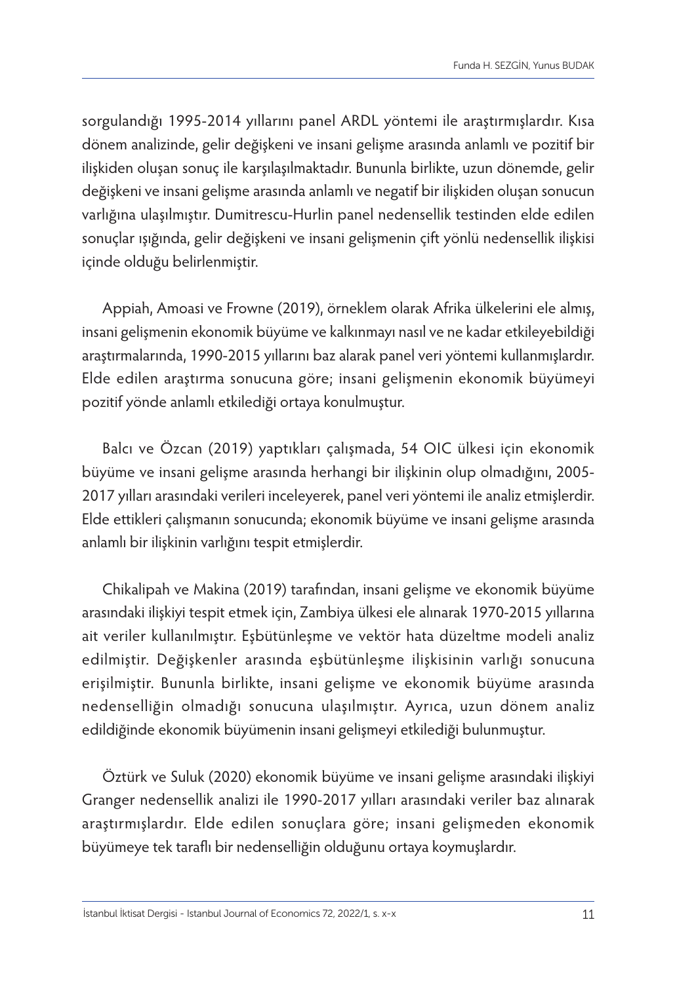sorgulandığı 1995-2014 yıllarını panel ARDL yöntemi ile araştırmışlardır. Kısa dönem analizinde, gelir değişkeni ve insani gelişme arasında anlamlı ve pozitif bir ilişkiden oluşan sonuç ile karşılaşılmaktadır. Bununla birlikte, uzun dönemde, gelir değişkeni ve insani gelişme arasında anlamlı ve negatif bir ilişkiden oluşan sonucun varlığına ulaşılmıştır. Dumitrescu-Hurlin panel nedensellik testinden elde edilen sonuçlar ışığında, gelir değişkeni ve insani gelişmenin çift yönlü nedensellik ilişkisi içinde olduğu belirlenmiştir.

Appiah, Amoasi ve Frowne (2019), örneklem olarak Afrika ülkelerini ele almış, insani gelişmenin ekonomik büyüme ve kalkınmayı nasıl ve ne kadar etkileyebildiği araştırmalarında, 1990-2015 yıllarını baz alarak panel veri yöntemi kullanmışlardır. Elde edilen araştırma sonucuna göre; insani gelişmenin ekonomik büyümeyi pozitif yönde anlamlı etkilediği ortaya konulmuştur.

Balcı ve Özcan (2019) yaptıkları çalışmada, 54 OIC ülkesi için ekonomik büyüme ve insani gelişme arasında herhangi bir ilişkinin olup olmadığını, 2005- 2017 yılları arasındaki verileri inceleyerek, panel veri yöntemi ile analiz etmişlerdir. Elde ettikleri çalışmanın sonucunda; ekonomik büyüme ve insani gelişme arasında anlamlı bir ilişkinin varlığını tespit etmişlerdir.

Chikalipah ve Makina (2019) tarafından, insani gelişme ve ekonomik büyüme arasındaki ilişkiyi tespit etmek için, Zambiya ülkesi ele alınarak 1970-2015 yıllarına ait veriler kullanılmıştır. Eşbütünleşme ve vektör hata düzeltme modeli analiz edilmiştir. Değişkenler arasında eşbütünleşme ilişkisinin varlığı sonucuna erişilmiştir. Bununla birlikte, insani gelişme ve ekonomik büyüme arasında nedenselliğin olmadığı sonucuna ulaşılmıştır. Ayrıca, uzun dönem analiz edildiğinde ekonomik büyümenin insani gelişmeyi etkilediği bulunmuştur.

Öztürk ve Suluk (2020) ekonomik büyüme ve insani gelişme arasındaki ilişkiyi Granger nedensellik analizi ile 1990-2017 yılları arasındaki veriler baz alınarak araştırmışlardır. Elde edilen sonuçlara göre; insani gelişmeden ekonomik büyümeye tek taraflı bir nedenselliğin olduğunu ortaya koymuşlardır.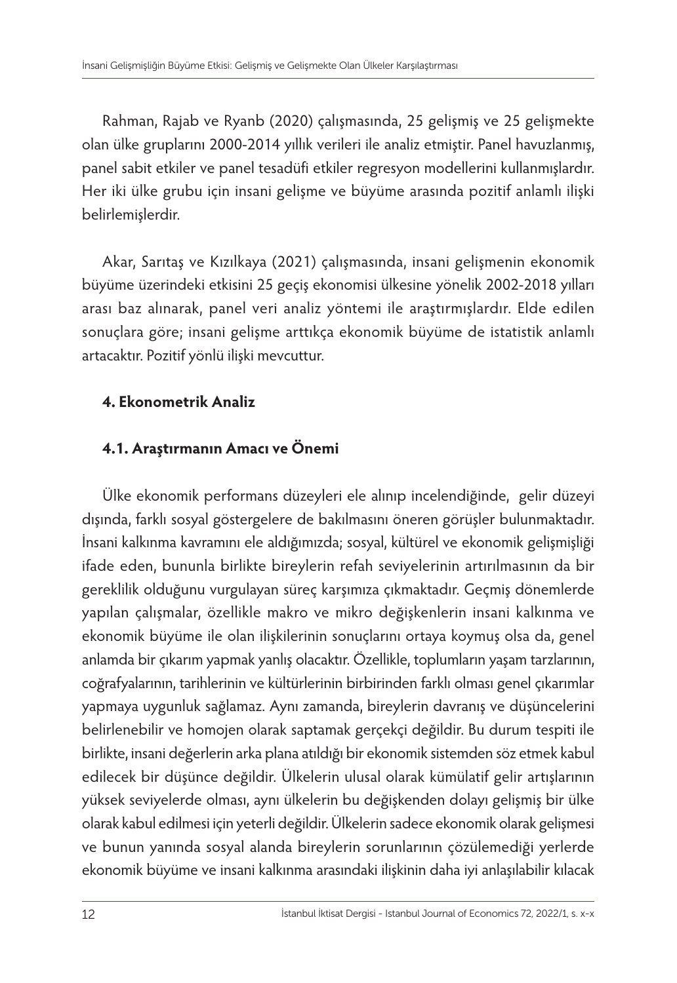Rahman, Rajab ve Ryanb (2020) çalışmasında, 25 gelişmiş ve 25 gelişmekte olan ülke gruplarını 2000-2014 yıllık verileri ile analiz etmiştir. Panel havuzlanmış, panel sabit etkiler ve panel tesadüfi etkiler regresyon modellerini kullanmışlardır. Her iki ülke grubu için insani gelişme ve büyüme arasında pozitif anlamlı ilişki belirlemişlerdir.

Akar, Sarıtaş ve Kızılkaya (2021) çalışmasında, insani gelişmenin ekonomik büyüme üzerindeki etkisini 25 geçiş ekonomisi ülkesine yönelik 2002-2018 yılları arası baz alınarak, panel veri analiz yöntemi ile araştırmışlardır. Elde edilen sonuçlara göre; insani gelişme arttıkça ekonomik büyüme de istatistik anlamlı artacaktır. Pozitif yönlü ilişki mevcuttur.

# **4. Ekonometrik Analiz**

# **4.1. Araştırmanın Amacı ve Önemi**

Ülke ekonomik performans düzeyleri ele alınıp incelendiğinde, gelir düzeyi dışında, farklı sosyal göstergelere de bakılmasını öneren görüşler bulunmaktadır. İnsani kalkınma kavramını ele aldığımızda; sosyal, kültürel ve ekonomik gelişmişliği ifade eden, bununla birlikte bireylerin refah seviyelerinin artırılmasının da bir gereklilik olduğunu vurgulayan süreç karşımıza çıkmaktadır. Geçmiş dönemlerde yapılan çalışmalar, özellikle makro ve mikro değişkenlerin insani kalkınma ve ekonomik büyüme ile olan ilişkilerinin sonuçlarını ortaya koymuş olsa da, genel anlamda bir çıkarım yapmak yanlış olacaktır. Özellikle, toplumların yaşam tarzlarının, coğrafyalarının, tarihlerinin ve kültürlerinin birbirinden farklı olması genel çıkarımlar yapmaya uygunluk sağlamaz. Aynı zamanda, bireylerin davranış ve düşüncelerini belirlenebilir ve homojen olarak saptamak gerçekçi değildir. Bu durum tespiti ile birlikte, insani değerlerin arka plana atıldığı bir ekonomik sistemden söz etmek kabul edilecek bir düşünce değildir. Ülkelerin ulusal olarak kümülatif gelir artışlarının yüksek seviyelerde olması, aynı ülkelerin bu değişkenden dolayı gelişmiş bir ülke olarak kabul edilmesi için yeterli değildir. Ülkelerin sadece ekonomik olarak gelişmesi ve bunun yanında sosyal alanda bireylerin sorunlarının çözülemediği yerlerde ekonomik büyüme ve insani kalkınma arasındaki ilişkinin daha iyi anlaşılabilir kılacak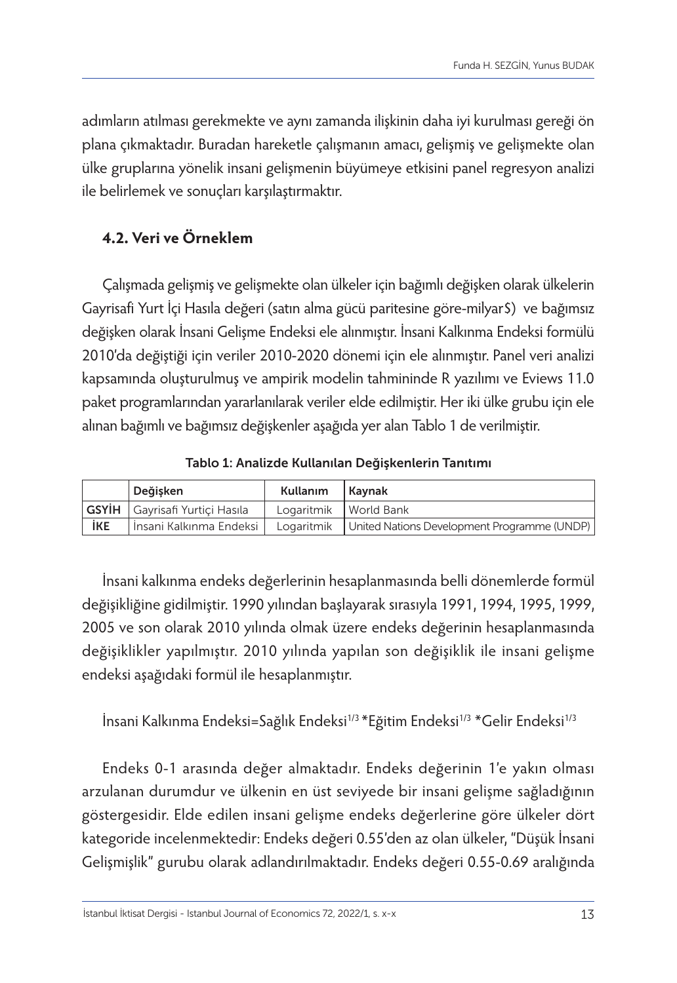adımların atılması gerekmekte ve aynı zamanda ilişkinin daha iyi kurulması gereği ön plana çıkmaktadır. Buradan hareketle çalışmanın amacı, gelişmiş ve gelişmekte olan ülke gruplarına yönelik insani gelişmenin büyümeye etkisini panel regresyon analizi ile belirlemek ve sonuçları karşılaştırmaktır.

# **4.2. Veri ve Örneklem**

Çalışmada gelişmiş ve gelişmekte olan ülkeler için bağımlı değişken olarak ülkelerin Gayrisafi Yurt İçi Hasıla değeri (satın alma gücü paritesine göre-milyar\$) ve bağımsız değişken olarak İnsani Gelişme Endeksi ele alınmıştır. İnsani Kalkınma Endeksi formülü 2010'da değiştiği için veriler 2010-2020 dönemi için ele alınmıştır. Panel veri analizi kapsamında oluşturulmuş ve ampirik modelin tahmininde R yazılımı ve Eviews 11.0 paket programlarından yararlanılarak veriler elde edilmiştir. Her iki ülke grubu için ele alınan bağımlı ve bağımsız değişkenler aşağıda yer alan Tablo 1 de verilmiştir.

Tablo 1: Analizde Kullanılan Değişkenlerin Tanıtımı

|     | Deăisken                              | Kullanım                | Kavnak                                                   |
|-----|---------------------------------------|-------------------------|----------------------------------------------------------|
|     | <b>GSYİH</b> Gayrisafi Yurtiçi Hasıla | Logaritmik   World Bank |                                                          |
| İKE | İnsani Kalkınma Endeksi               |                         | Logaritmik   United Nations Development Programme (UNDP) |

İnsani kalkınma endeks değerlerinin hesaplanmasında belli dönemlerde formül değişikliğine gidilmiştir. 1990 yılından başlayarak sırasıyla 1991, 1994, 1995, 1999, 2005 ve son olarak 2010 yılında olmak üzere endeks değerinin hesaplanmasında değişiklikler yapılmıştır. 2010 yılında yapılan son değişiklik ile insani gelişme endeksi aşağıdaki formül ile hesaplanmıştır.

İnsani Kalkınma Endeksi=Sağlık Endeksi<sup>1/3</sup> \*Eğitim Endeksi<sup>1/3</sup> \*Gelir Endeksi<sup>1/3</sup>

Endeks 0-1 arasında değer almaktadır. Endeks değerinin 1'e yakın olması arzulanan durumdur ve ülkenin en üst seviyede bir insani gelişme sağladığının göstergesidir. Elde edilen insani gelişme endeks değerlerine göre ülkeler dört kategoride incelenmektedir: Endeks değeri 0.55'den az olan ülkeler, "Düşük İnsani Gelişmişlik" gurubu olarak adlandırılmaktadır. Endeks değeri 0.55-0.69 aralığında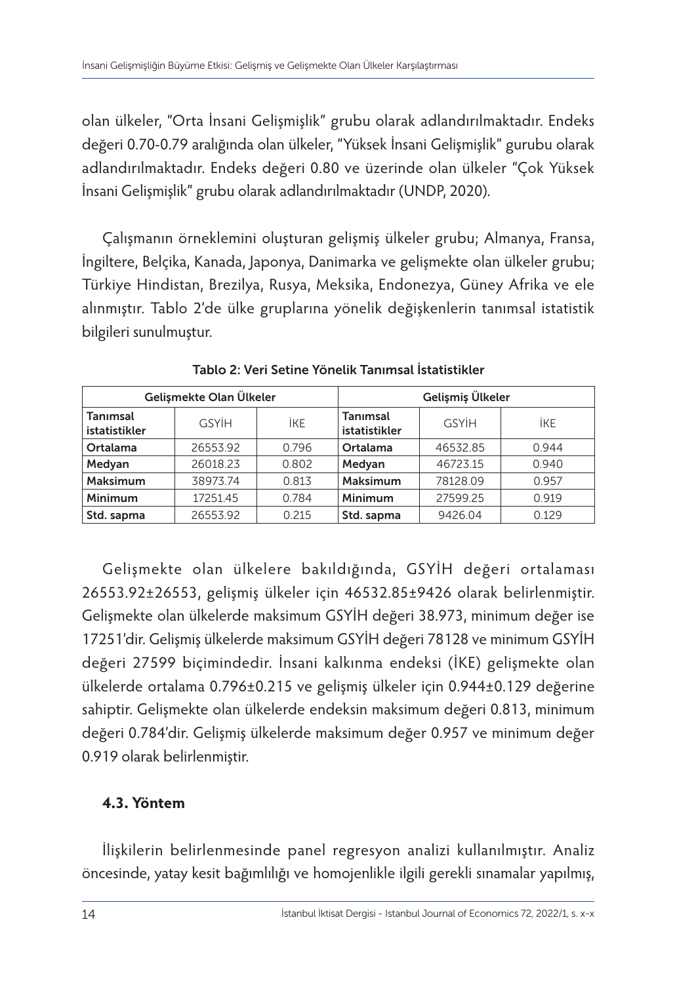olan ülkeler, "Orta İnsani Gelişmişlik" grubu olarak adlandırılmaktadır. Endeks değeri 0.70-0.79 aralığında olan ülkeler, "Yüksek İnsani Gelişmişlik" gurubu olarak adlandırılmaktadır. Endeks değeri 0.80 ve üzerinde olan ülkeler "Çok Yüksek İnsani Gelişmişlik" grubu olarak adlandırılmaktadır (UNDP, 2020).

Çalışmanın örneklemini oluşturan gelişmiş ülkeler grubu; Almanya, Fransa, İngiltere, Belçika, Kanada, Japonya, Danimarka ve gelişmekte olan ülkeler grubu; Türkiye Hindistan, Brezilya, Rusya, Meksika, Endonezya, Güney Afrika ve ele alınmıştır. Tablo 2'de ülke gruplarına yönelik değişkenlerin tanımsal istatistik bilgileri sunulmuştur.

| Gelişmekte Olan Ülkeler   |              |       | Gelişmiş Ülkeler          |              |            |
|---------------------------|--------------|-------|---------------------------|--------------|------------|
| Tanımsal<br>istatistikler | <b>GSYİH</b> | İKE   | Tanımsal<br>istatistikler | <b>GSYIH</b> | <b>İKE</b> |
| Ortalama                  | 26553.92     | 0.796 | Ortalama                  | 46532.85     | 0.944      |
| Medyan                    | 26018.23     | 0.802 | Medyan                    | 46723.15     | 0.940      |
| Maksimum                  | 38973.74     | 0.813 | Maksimum                  | 78128.09     | 0.957      |
| Minimum                   | 17251.45     | 0.784 | Minimum                   | 27599.25     | 0.919      |
| Std. sapma                | 26553.92     | 0.215 | Std. sapma                | 9426.04      | 0.129      |

Tablo 2: Veri Setine Yönelik Tanımsal İstatistikler

Gelişmekte olan ülkelere bakıldığında, GSYİH değeri ortalaması 26553.92±26553, gelişmiş ülkeler için 46532.85±9426 olarak belirlenmiştir. Gelişmekte olan ülkelerde maksimum GSYİH değeri 38.973, minimum değer ise 17251'dir. Gelişmiş ülkelerde maksimum GSYİH değeri 78128 ve minimum GSYİH değeri 27599 biçimindedir. İnsani kalkınma endeksi (İKE) gelişmekte olan ülkelerde ortalama 0.796±0.215 ve gelişmiş ülkeler için 0.944±0.129 değerine sahiptir. Gelişmekte olan ülkelerde endeksin maksimum değeri 0.813, minimum değeri 0.784'dir. Gelişmiş ülkelerde maksimum değer 0.957 ve minimum değer 0.919 olarak belirlenmiştir.

# **4.3. Yöntem**

İlişkilerin belirlenmesinde panel regresyon analizi kullanılmıştır. Analiz öncesinde, yatay kesit bağımlılığı ve homojenlikle ilgili gerekli sınamalar yapılmış,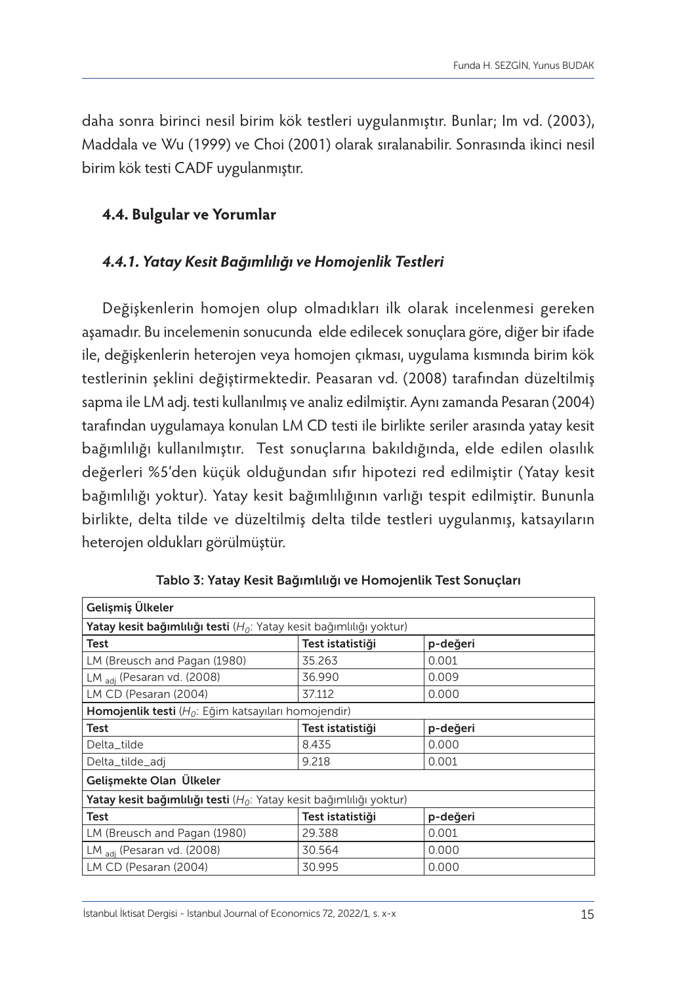daha sonra birinci nesil birim kök testleri uygulanmıştır. Bunlar; Im vd. (2003), Maddala ve Wu (1999) ve Choi (2001) olarak sıralanabilir. Sonrasında ikinci nesil birim kök testi CADF uygulanmıştır.

#### **4.4. Bulgular ve Yorumlar**

# *4.4.1. Yatay Kesit Bağımlılığı ve Homojenlik Testleri*

Değişkenlerin homojen olup olmadıkları ilk olarak incelenmesi gereken aşamadır. Bu incelemenin sonucunda elde edilecek sonuçlara göre, diğer bir ifade ile, değişkenlerin heterojen veya homojen çıkması, uygulama kısmında birim kök testlerinin şeklini değiştirmektedir. Peasaran vd. (2008) tarafından düzeltilmiş sapma ile LM adj. testi kullanılmış ve analiz edilmiştir. Aynı zamanda Pesaran (2004) tarafından uygulamaya konulan LM CD testi ile birlikte seriler arasında yatay kesit bağımlılığı kullanılmıştır. Test sonuçlarına bakıldığında, elde edilen olasılık değerleri %5'den küçük olduğundan sıfır hipotezi red edilmiştir (Yatay kesit bağımlılığı yoktur). Yatay kesit bağımlılığının varlığı tespit edilmiştir. Bununla birlikte, delta tilde ve düzeltilmiş delta tilde testleri uygulanmış, katsayıların heterojen oldukları görülmüştür.

| Gelişmiş Ülkeler                                                               |        |       |  |  |  |  |
|--------------------------------------------------------------------------------|--------|-------|--|--|--|--|
| <b>Yatay kesit bağımlılığı testi</b> ( $H_0$ : Yatay kesit bağımlılığı yoktur) |        |       |  |  |  |  |
| Test<br>Test istatistiği<br>p-değeri                                           |        |       |  |  |  |  |
| LM (Breusch and Pagan (1980)                                                   | 35.263 | 0.001 |  |  |  |  |
| LM adi (Pesaran vd. (2008)                                                     | 36.990 | 0.009 |  |  |  |  |
| LM CD (Pesaran (2004)                                                          | 37.112 | 0.000 |  |  |  |  |
| <b>Homojenlik testi</b> ( $H_0$ : Eğim katsayıları homojendir)                 |        |       |  |  |  |  |
| Test istatistiği<br>Test<br>p-değeri                                           |        |       |  |  |  |  |
| Delta_tilde                                                                    | 8.435  | 0.000 |  |  |  |  |
| Delta_tilde_adj                                                                | 9.218  | 0.001 |  |  |  |  |
| Gelismekte Olan Ülkeler                                                        |        |       |  |  |  |  |
| <b>Yatay kesit bağımlılığı testi</b> ( $H_0$ : Yatay kesit bağımlılığı yoktur) |        |       |  |  |  |  |
| Test<br>Test istatistiği<br>p-değeri                                           |        |       |  |  |  |  |
| LM (Breusch and Pagan (1980)                                                   | 0.001  |       |  |  |  |  |
| LM adi (Pesaran vd. (2008)<br>0.000<br>30.564                                  |        |       |  |  |  |  |
| LM CD (Pesaran (2004)<br>30.995<br>0.000                                       |        |       |  |  |  |  |

Tablo 3: Yatay Kesit Bağımlılığı ve Homojenlik Test Sonuçları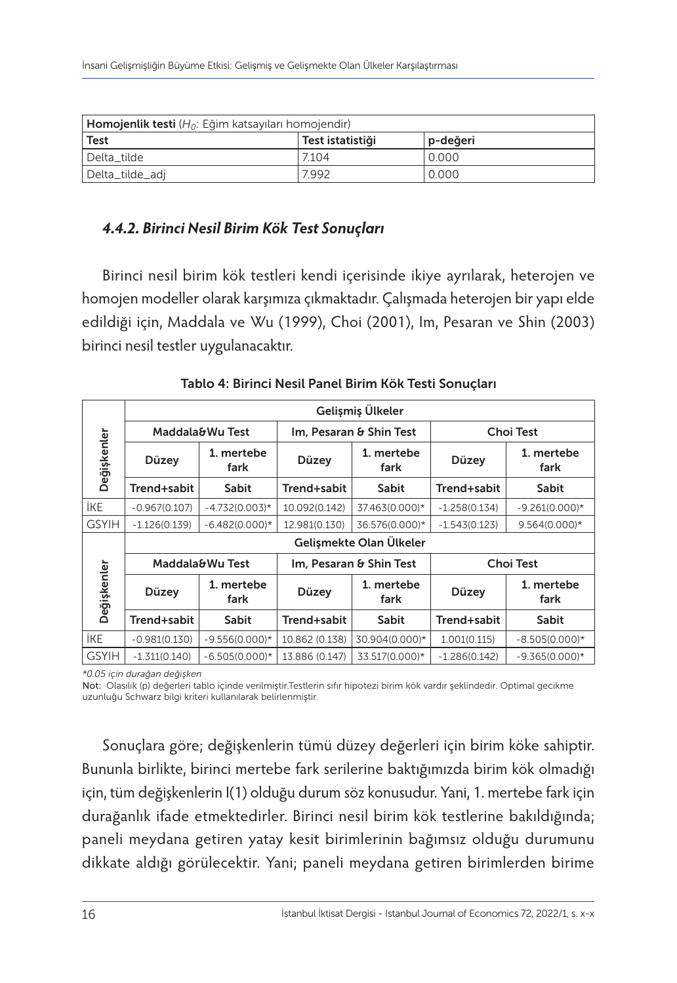| <b>Homojenlik testi</b> ( $H_0$ : Eğim katsayıları homojendir) |       |       |  |  |  |  |
|----------------------------------------------------------------|-------|-------|--|--|--|--|
| Test<br>Test istatistiği<br>p-değeri                           |       |       |  |  |  |  |
| Delta tilde                                                    | 7.104 | 0.000 |  |  |  |  |
| Delta_tilde_adj                                                | 0.000 |       |  |  |  |  |

# *4.4.2. Birinci Nesil Birim Kök Test Sonuçları*

Birinci nesil birim kök testleri kendi içerisinde ikiye ayrılarak, heterojen ve homojen modeller olarak karşımıza çıkmaktadır. Çalışmada heterojen bir yapı elde edildiği için, Maddala ve Wu (1999), Choi (2001), Im, Pesaran ve Shin (2003) birinci nesil testler uygulanacaktır.

|              | Gelismis Ülkeler        |                    |                                             |                    |                  |                    |  |
|--------------|-------------------------|--------------------|---------------------------------------------|--------------------|------------------|--------------------|--|
|              | Maddala&Wu Test         |                    | Im, Pesaran & Shin Test                     |                    | <b>Choi Test</b> |                    |  |
| Değişkenler  | Düzey                   | 1. mertebe<br>fark | 1. mertebe<br>Düzey<br>fark                 |                    | Düzey            | 1. mertebe<br>fark |  |
|              | Trend+sabit             | Sabit              | Trend+sabit                                 | Sabit              | Trend+sabit      | <b>Sabit</b>       |  |
| <b>IKE</b>   | $-0.967(0.107)$         | $-4.732(0.003)*$   | 10.092(0.142)                               | 37.463(0.000)*     | $-1.258(0.134)$  | $-9.261(0.000)*$   |  |
| <b>GSYIH</b> | $-1.126(0.139)$         | $-6.482(0.000)*$   | 12.981(0.130)                               | 36.576(0.000)*     | $-1.543(0.123)$  | $9.564(0.000)*$    |  |
|              | Gelişmekte Olan Ülkeler |                    |                                             |                    |                  |                    |  |
|              |                         | Maddala&Wu Test    | <b>Choi Test</b><br>Im, Pesaran & Shin Test |                    |                  |                    |  |
| Değişkenler  | Düzey                   | 1. mertebe<br>fark | Düzey                                       | 1. mertebe<br>fark | Düzey            | 1. mertebe<br>fark |  |
|              | Trend+sabit             | Sabit              | Trend+sabit                                 | Sabit              | Trend+sabit      | Sabit              |  |
| <b>İKE</b>   | $-0.981(0.130)$         | $-9.556(0.000)*$   | 10.862 (0.138)                              | 30.904(0.000)*     | 1.001(0.115)     | $-8.505(0.000)*$   |  |
| <b>GSYIH</b> | $-1.311(0.140)$         | $-6.505(0.000)*$   | 13.886 (0.147)                              | 33.517(0.000)*     | $-1.286(0.142)$  | $-9.365(0.000)*$   |  |

Tablo 4: Birinci Nesil Panel Birim Kök Testi Sonuçları

*\*0.05 için durağan değişken*

Not: Olasılık (p) değerleri tablo içinde verilmiştir.Testlerin sıfır hipotezi birim kök vardır şeklindedir. Optimal gecikme uzunluğu Schwarz bilgi kriteri kullanılarak belirlenmiştir.

Sonuçlara göre; değişkenlerin tümü düzey değerleri için birim köke sahiptir. Bununla birlikte, birinci mertebe fark serilerine baktığımızda birim kök olmadığı için, tüm değişkenlerin I(1) olduğu durum söz konusudur. Yani, 1. mertebe fark için durağanlık ifade etmektedirler. Birinci nesil birim kök testlerine bakıldığında; paneli meydana getiren yatay kesit birimlerinin bağımsız olduğu durumunu dikkate aldığı görülecektir. Yani; paneli meydana getiren birimlerden birime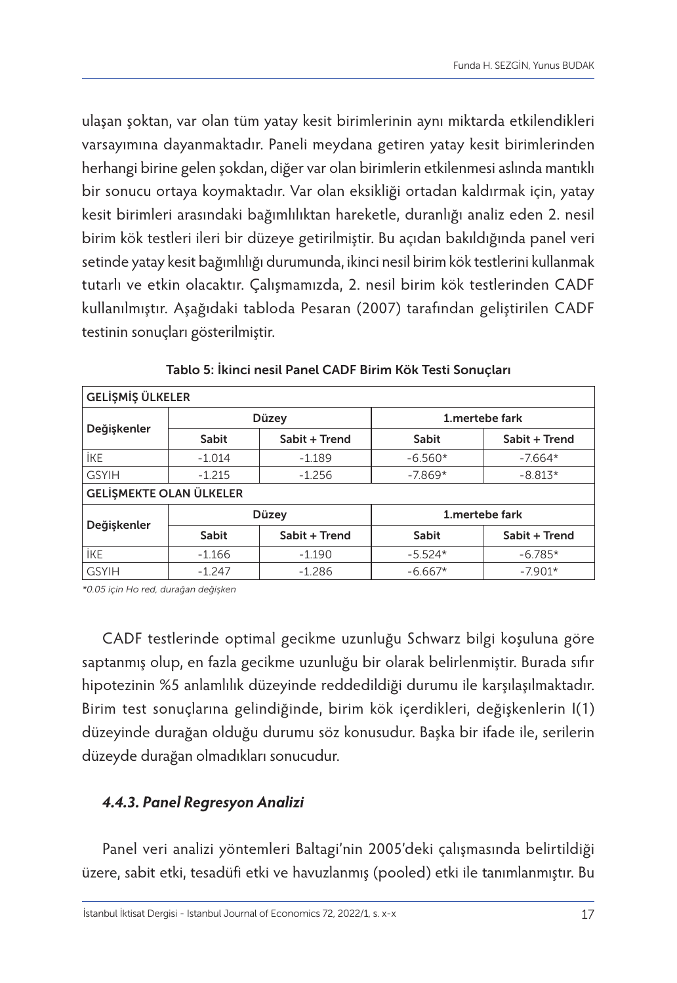ulaşan şoktan, var olan tüm yatay kesit birimlerinin aynı miktarda etkilendikleri varsayımına dayanmaktadır. Paneli meydana getiren yatay kesit birimlerinden herhangi birine gelen şokdan, diğer var olan birimlerin etkilenmesi aslında mantıklı bir sonucu ortaya koymaktadır. Var olan eksikliği ortadan kaldırmak için, yatay kesit birimleri arasındaki bağımlılıktan hareketle, duranlığı analiz eden 2. nesil birim kök testleri ileri bir düzeye getirilmiştir. Bu açıdan bakıldığında panel veri setinde yatay kesit bağımlılığı durumunda, ikinci nesil birim kök testlerini kullanmak tutarlı ve etkin olacaktır. Çalışmamızda, 2. nesil birim kök testlerinden CADF kullanılmıştır. Aşağıdaki tabloda Pesaran (2007) tarafından geliştirilen CADF testinin sonuçları gösterilmiştir.

| GELİŞMİŞ ÜLKELER                                  |                      |               |                 |               |  |  |  |
|---------------------------------------------------|----------------------|---------------|-----------------|---------------|--|--|--|
|                                                   |                      | Düzey         | 1. mertebe fark |               |  |  |  |
| Değişkenler                                       | Sabit                | Sabit + Trend | Sabit           | Sabit + Trend |  |  |  |
| <b>IKE</b>                                        | $-1.014$             | $-1.189$      | $-6.560*$       | $-7.664*$     |  |  |  |
| <b>GSYIH</b><br>$-7.869*$<br>$-1.215$<br>$-1.256$ |                      |               |                 | $-8.813*$     |  |  |  |
| <b>GELİŞMEKTE OLAN ÜLKELER</b>                    |                      |               |                 |               |  |  |  |
|                                                   |                      | Düzey         | 1. mertebe fark |               |  |  |  |
| Değişkenler                                       | Sabit                | Sabit + Trend | Sabit           | Sabit + Trend |  |  |  |
| <b>IKE</b>                                        | $-1.166$<br>$-1.190$ |               | $-5.524*$       | $-6.785*$     |  |  |  |
| <b>GSYIH</b>                                      | $-1.247$             | $-1.286$      | $-6.667*$       | $-7.901*$     |  |  |  |

*\*0.05 için Ho red, durağan değişken*

CADF testlerinde optimal gecikme uzunluğu Schwarz bilgi koşuluna göre saptanmış olup, en fazla gecikme uzunluğu bir olarak belirlenmiştir. Burada sıfır hipotezinin %5 anlamlılık düzeyinde reddedildiği durumu ile karşılaşılmaktadır. Birim test sonuçlarına gelindiğinde, birim kök içerdikleri, değişkenlerin I(1) düzeyinde durağan olduğu durumu söz konusudur. Başka bir ifade ile, serilerin düzeyde durağan olmadıkları sonucudur.

# *4.4.3. Panel Regresyon Analizi*

Panel veri analizi yöntemleri Baltagi'nin 2005'deki çalışmasında belirtildiği üzere, sabit etki, tesadüfi etki ve havuzlanmış (pooled) etki ile tanımlanmıştır. Bu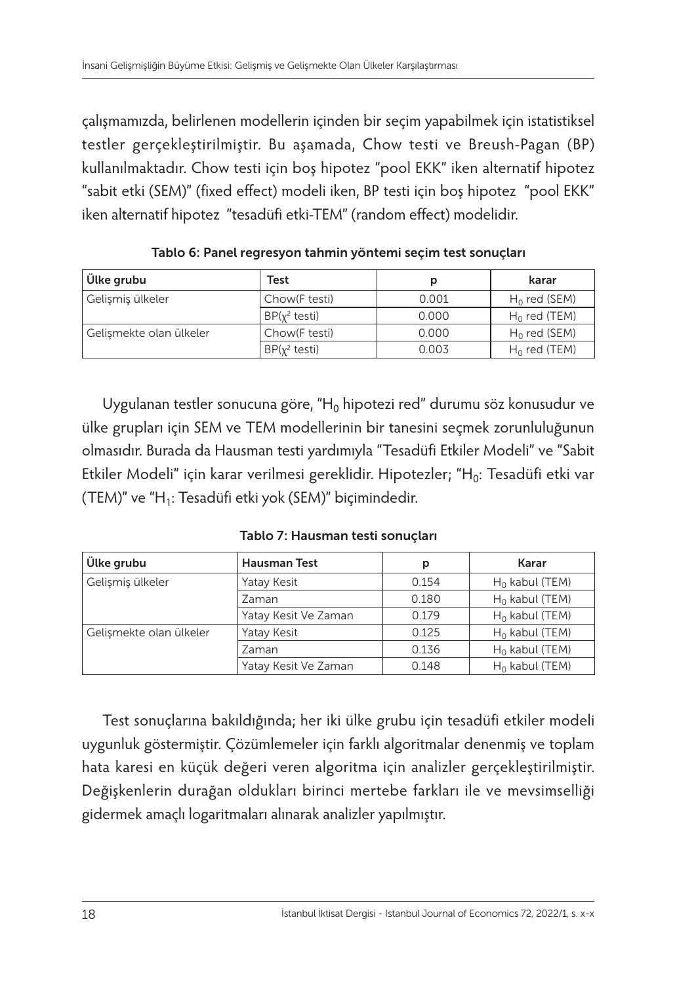çalışmamızda, belirlenen modellerin içinden bir seçim yapabilmek için istatistiksel testler gerçekleştirilmiştir. Bu aşamada, Chow testi ve Breush-Pagan (BP) kullanılmaktadır. Chow testi için boş hipotez "pool EKK" iken alternatif hipotez "sabit etki (SEM)" (fixed effect) modeli iken, BP testi için boş hipotez "pool EKK" iken alternatif hipotez "tesadüfi etki-TEM" (random effect) modelidir.

| Ülke grubu              | Test                    |       | karar           |
|-------------------------|-------------------------|-------|-----------------|
| Gelişmiş ülkeler        | Chow(F testi)           | 0.001 | $H_0$ red (SEM) |
|                         | $BP(y^2 \text{ testi})$ | 0.000 | $H_0$ red (TEM) |
| Gelismekte olan ülkeler | Chow(F testi)           | 0.000 | $H_0$ red (SEM) |
|                         | $BP(y^2 \text{ testi})$ | 0.003 | $H_0$ red (TEM) |

Tablo 6: Panel regresyon tahmin yöntemi seçim test sonuçları

Uygulanan testler sonucuna göre, "H<sub>0</sub> hipotezi red" durumu söz konusudur ve ülke grupları için SEM ve TEM modellerinin bir tanesini seçmek zorunluluğunun olmasıdır. Burada da Hausman testi yardımıyla "Tesadüfi Etkiler Modeli" ve "Sabit Etkiler Modeli" için karar verilmesi gereklidir. Hipotezler; "H0: Tesadüfi etki var (TEM)" ve "H1: Tesadüfi etki yok (SEM)" biçimindedir.

Tablo 7: Hausman testi sonuçları

| Ülke grubu              | <b>Hausman Test</b>  | р     | Karar             |
|-------------------------|----------------------|-------|-------------------|
| Gelişmiş ülkeler        | Yatay Kesit          | 0.154 | $H_0$ kabul (TEM) |
|                         | Zaman                | 0.180 | $H_0$ kabul (TEM) |
|                         | Yatay Kesit Ve Zaman | 0.179 | $H_0$ kabul (TEM) |
| Gelismekte olan ülkeler | Yatay Kesit          | 0.125 | $H_0$ kabul (TEM) |
|                         | Zaman                | 0.136 | $H_0$ kabul (TEM) |
|                         | Yatay Kesit Ve Zaman | 0.148 | $H_0$ kabul (TEM) |

Test sonuçlarına bakıldığında; her iki ülke grubu için tesadüfi etkiler modeli uygunluk göstermiştir. Çözümlemeler için farklı algoritmalar denenmiş ve toplam hata karesi en küçük değeri veren algoritma için analizler gerçekleştirilmiştir. Değişkenlerin durağan oldukları birinci mertebe farkları ile ve mevsimselliği gidermek amaçlı logaritmaları alınarak analizler yapılmıştır.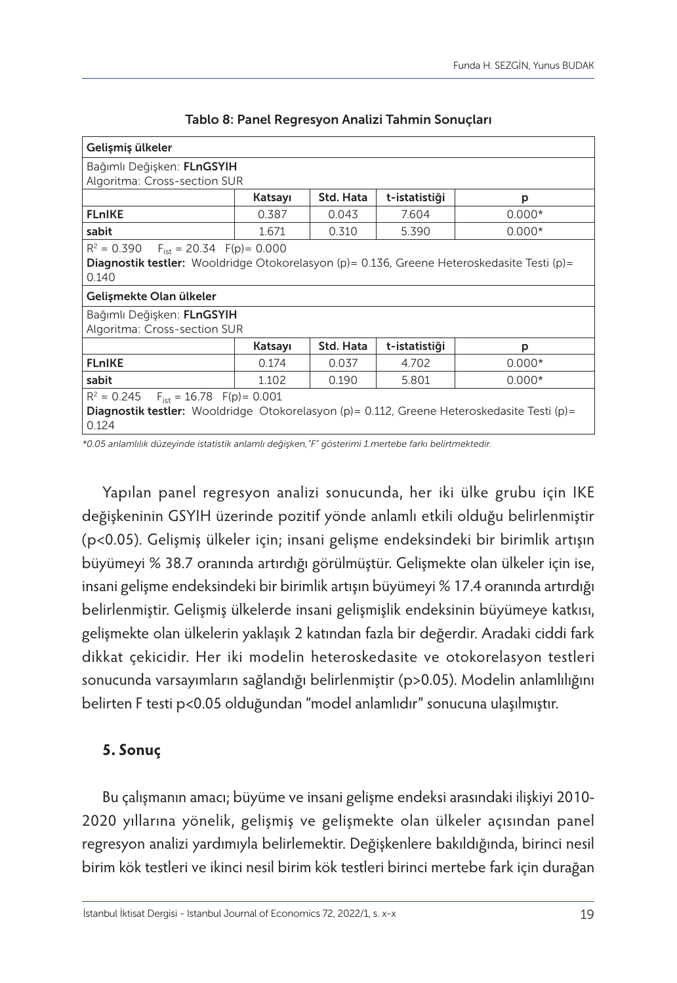| Gelişmiş ülkeler                                                                                                                                                                        |                                            |       |       |          |  |  |  |  |
|-----------------------------------------------------------------------------------------------------------------------------------------------------------------------------------------|--------------------------------------------|-------|-------|----------|--|--|--|--|
| Bağımlı Değişken: FLnGSYIH<br>Algoritma: Cross-section SUR                                                                                                                              |                                            |       |       |          |  |  |  |  |
|                                                                                                                                                                                         | Std. Hata<br>Katsayı<br>t-istatistiği<br>р |       |       |          |  |  |  |  |
| <b>FLnIKE</b>                                                                                                                                                                           | 0.387                                      | 0.043 | 7.604 | $0.000*$ |  |  |  |  |
| sabit                                                                                                                                                                                   | 1.671                                      | 0.310 | 5.390 | $0.000*$ |  |  |  |  |
| $R^2 = 0.390$ F <sub>ist</sub> = 20.34 F(p) = 0.000<br>Diagnostik testler: Wooldridge Otokorelasyon (p) = 0.136, Greene Heteroskedasite Testi (p) =<br>0.140<br>Gelismekte Olan ülkeler |                                            |       |       |          |  |  |  |  |
| Bağımlı Değişken: FLnGSYIH<br>Algoritma: Cross-section SUR                                                                                                                              |                                            |       |       |          |  |  |  |  |
| Std. Hata<br>t-istatistiği<br>Katsayı<br>р                                                                                                                                              |                                            |       |       |          |  |  |  |  |
| <b>FLnIKE</b><br>0.037<br>4.702<br>$0.000*$<br>0.174                                                                                                                                    |                                            |       |       |          |  |  |  |  |
| sabit<br>1.102<br>0.190<br>5.801<br>$0.000*$                                                                                                                                            |                                            |       |       |          |  |  |  |  |
| $R^2 = 0.245$ $F_{\text{jet}} = 16.78$ $F(p) = 0.001$<br><b>Diagnostik testler:</b> Wooldridge Otokorelasyon (p) = 0.112, Greene Heteroskedasite Testi (p) =<br>0.124                   |                                            |       |       |          |  |  |  |  |

Tablo 8: Panel Regresyon Analizi Tahmin Sonuçları

*\*0.05 anlamlılık düzeyinde istatistik anlamlı değişken,"F" gösterimi 1.mertebe farkı belirtmektedir.*

Yapılan panel regresyon analizi sonucunda, her iki ülke grubu için IKE değişkeninin GSYIH üzerinde pozitif yönde anlamlı etkili olduğu belirlenmiştir (p<0.05). Gelişmiş ülkeler için; insani gelişme endeksindeki bir birimlik artışın büyümeyi % 38.7 oranında artırdığı görülmüştür. Gelişmekte olan ülkeler için ise, insani gelişme endeksindeki bir birimlik artışın büyümeyi % 17.4 oranında artırdığı belirlenmiştir. Gelişmiş ülkelerde insani gelişmişlik endeksinin büyümeye katkısı, gelişmekte olan ülkelerin yaklaşık 2 katından fazla bir değerdir. Aradaki ciddi fark dikkat çekicidir. Her iki modelin heteroskedasite ve otokorelasyon testleri sonucunda varsayımların sağlandığı belirlenmiştir (p>0.05). Modelin anlamlılığını belirten F testi p<0.05 olduğundan "model anlamlıdır" sonucuna ulaşılmıştır.

# **5. Sonuç**

Bu çalışmanın amacı; büyüme ve insani gelişme endeksi arasındaki ilişkiyi 2010- 2020 yıllarına yönelik, gelişmiş ve gelişmekte olan ülkeler açısından panel regresyon analizi yardımıyla belirlemektir. Değişkenlere bakıldığında, birinci nesil birim kök testleri ve ikinci nesil birim kök testleri birinci mertebe fark için durağan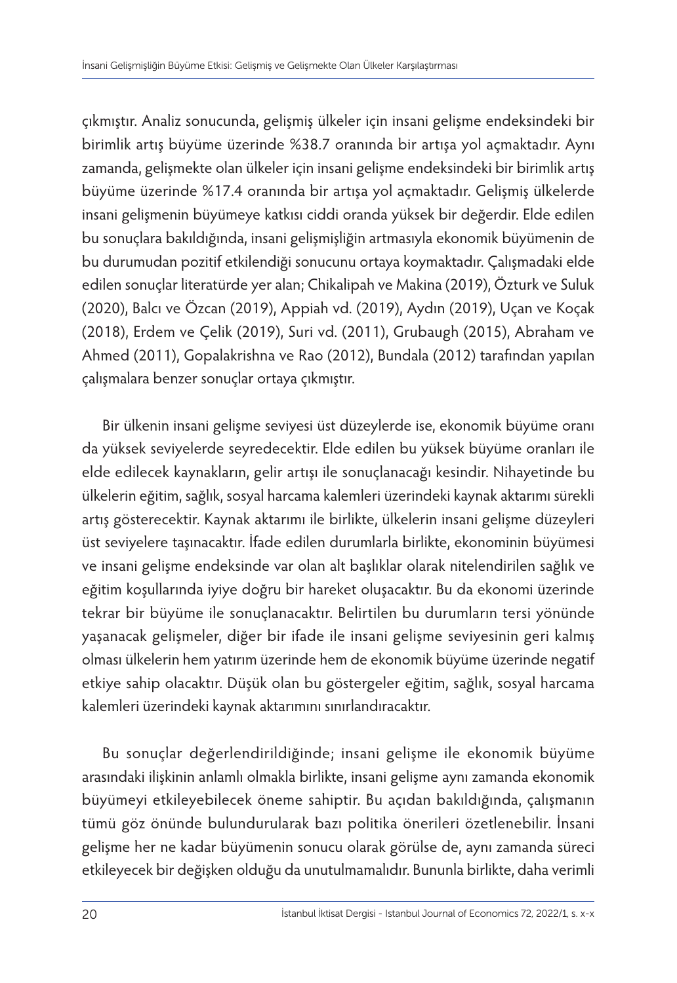çıkmıştır. Analiz sonucunda, gelişmiş ülkeler için insani gelişme endeksindeki bir birimlik artış büyüme üzerinde %38.7 oranında bir artışa yol açmaktadır. Aynı zamanda, gelişmekte olan ülkeler için insani gelişme endeksindeki bir birimlik artış büyüme üzerinde %17.4 oranında bir artışa yol açmaktadır. Gelişmiş ülkelerde insani gelişmenin büyümeye katkısı ciddi oranda yüksek bir değerdir. Elde edilen bu sonuçlara bakıldığında, insani gelişmişliğin artmasıyla ekonomik büyümenin de bu durumudan pozitif etkilendiği sonucunu ortaya koymaktadır. Çalışmadaki elde edilen sonuçlar literatürde yer alan; Chikalipah ve Makina (2019), Özturk ve Suluk (2020), Balcı ve Özcan (2019), Appiah vd. (2019), Aydın (2019), Uçan ve Koçak (2018), Erdem ve Çelik (2019), Suri vd. (2011), Grubaugh (2015), Abraham ve Ahmed (2011), Gopalakrishna ve Rao (2012), Bundala (2012) tarafından yapılan çalışmalara benzer sonuçlar ortaya çıkmıştır.

Bir ülkenin insani gelişme seviyesi üst düzeylerde ise, ekonomik büyüme oranı da yüksek seviyelerde seyredecektir. Elde edilen bu yüksek büyüme oranları ile elde edilecek kaynakların, gelir artışı ile sonuçlanacağı kesindir. Nihayetinde bu ülkelerin eğitim, sağlık, sosyal harcama kalemleri üzerindeki kaynak aktarımı sürekli artış gösterecektir. Kaynak aktarımı ile birlikte, ülkelerin insani gelişme düzeyleri üst seviyelere taşınacaktır. İfade edilen durumlarla birlikte, ekonominin büyümesi ve insani gelişme endeksinde var olan alt başlıklar olarak nitelendirilen sağlık ve eğitim koşullarında iyiye doğru bir hareket oluşacaktır. Bu da ekonomi üzerinde tekrar bir büyüme ile sonuçlanacaktır. Belirtilen bu durumların tersi yönünde yaşanacak gelişmeler, diğer bir ifade ile insani gelişme seviyesinin geri kalmış olması ülkelerin hem yatırım üzerinde hem de ekonomik büyüme üzerinde negatif etkiye sahip olacaktır. Düşük olan bu göstergeler eğitim, sağlık, sosyal harcama kalemleri üzerindeki kaynak aktarımını sınırlandıracaktır.

Bu sonuçlar değerlendirildiğinde; insani gelişme ile ekonomik büyüme arasındaki ilişkinin anlamlı olmakla birlikte, insani gelişme aynı zamanda ekonomik büyümeyi etkileyebilecek öneme sahiptir. Bu açıdan bakıldığında, çalışmanın tümü göz önünde bulundurularak bazı politika önerileri özetlenebilir. İnsani gelişme her ne kadar büyümenin sonucu olarak görülse de, aynı zamanda süreci etkileyecek bir değişken olduğu da unutulmamalıdır. Bununla birlikte, daha verimli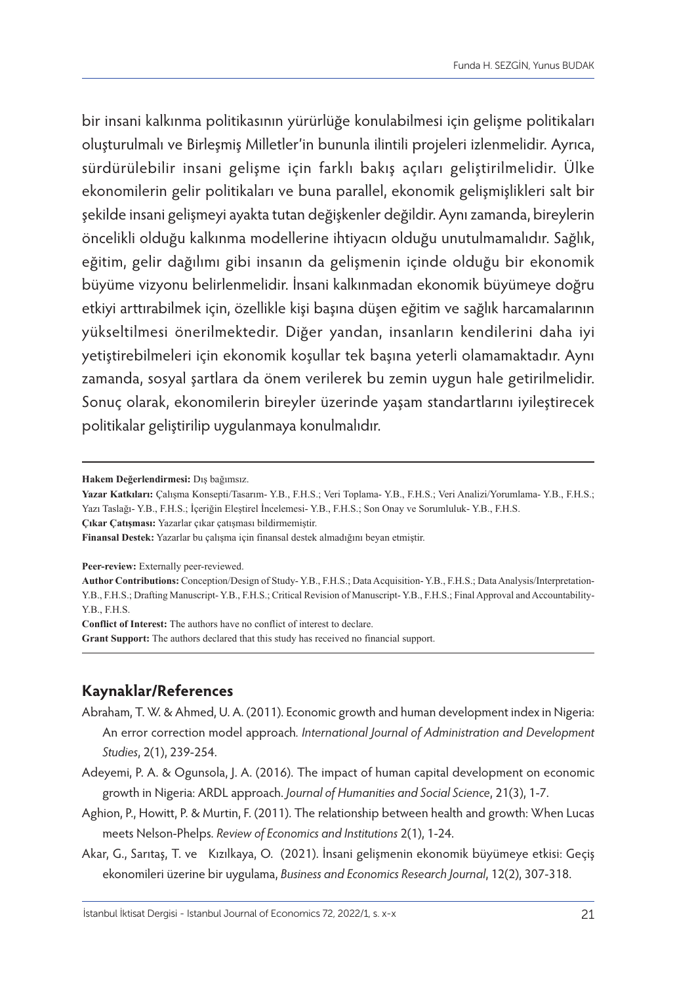bir insani kalkınma politikasının yürürlüğe konulabilmesi için gelişme politikaları oluşturulmalı ve Birleşmiş Milletler'in bununla ilintili projeleri izlenmelidir. Ayrıca, sürdürülebilir insani gelişme için farklı bakış açıları geliştirilmelidir. Ülke ekonomilerin gelir politikaları ve buna parallel, ekonomik gelişmişlikleri salt bir şekilde insani gelişmeyi ayakta tutan değişkenler değildir. Aynı zamanda, bireylerin öncelikli olduğu kalkınma modellerine ihtiyacın olduğu unutulmamalıdır. Sağlık, eğitim, gelir dağılımı gibi insanın da gelişmenin içinde olduğu bir ekonomik büyüme vizyonu belirlenmelidir. İnsani kalkınmadan ekonomik büyümeye doğru etkiyi arttırabilmek için, özellikle kişi başına düşen eğitim ve sağlık harcamalarının yükseltilmesi önerilmektedir. Diğer yandan, insanların kendilerini daha iyi yetiştirebilmeleri için ekonomik koşullar tek başına yeterli olamamaktadır. Aynı zamanda, sosyal şartlara da önem verilerek bu zemin uygun hale getirilmelidir. Sonuç olarak, ekonomilerin bireyler üzerinde yaşam standartlarını iyileştirecek politikalar geliştirilip uygulanmaya konulmalıdır.

**Çıkar Çatışması:** Yazarlar çıkar çatışması bildirmemiştir.

**Finansal Destek:** Yazarlar bu çalışma için finansal destek almadığını beyan etmiştir.

Peer-review: Externally peer-reviewed.

**Author Contributions:** Conception/Design of Study- Y.B., F.H.S.; Data Acquisition- Y.B., F.H.S.; Data Analysis/Interpretation-Y.B., F.H.S.; Drafting Manuscript- Y.B., F.H.S.; Critical Revision of Manuscript- Y.B., F.H.S.; Final Approval and Accountability-Y.B., F.H.S.

**Conflict of Interest:** The authors have no conflict of interest to declare. **Grant Support:** The authors declared that this study has received no financial support.

# **Kaynaklar/References**

- Abraham, T. W. & Ahmed, U. A. (2011). Economic growth and human development index in Nigeria: An error correction model approach*. International Journal of Administration and Development Studies*, 2(1), 239-254.
- Adeyemi, P. A. & Ogunsola, J. A. (2016). The impact of human capital development on economic growth in Nigeria: ARDL approach. *Journal of Humanities and Social Science*, 21(3), 1-7.
- Aghion, P., Howitt, P. & Murtin, F. (2011). The relationship between health and growth: When Lucas meets Nelson-Phelps. *Review of Economics and Institutions* 2(1), 1-24.
- Akar, G., Sarıtaş, T. ve Kızılkaya, O. (2021). İnsani gelişmenin ekonomik büyümeye etkisi: Geçiş ekonomileri üzerine bir uygulama, *Business and Economics Research Journal*, 12(2), 307-318.

**Hakem Değerlendirmesi:** Dış bağımsız.

**Yazar Katkıları:** Çalışma Konsepti/Tasarım- Y.B., F.H.S.; Veri Toplama- Y.B., F.H.S.; Veri Analizi/Yorumlama- Y.B., F.H.S.; Yazı Taslağı- Y.B., F.H.S.; İçeriğin Eleştirel İncelemesi- Y.B., F.H.S.; Son Onay ve Sorumluluk- Y.B., F.H.S.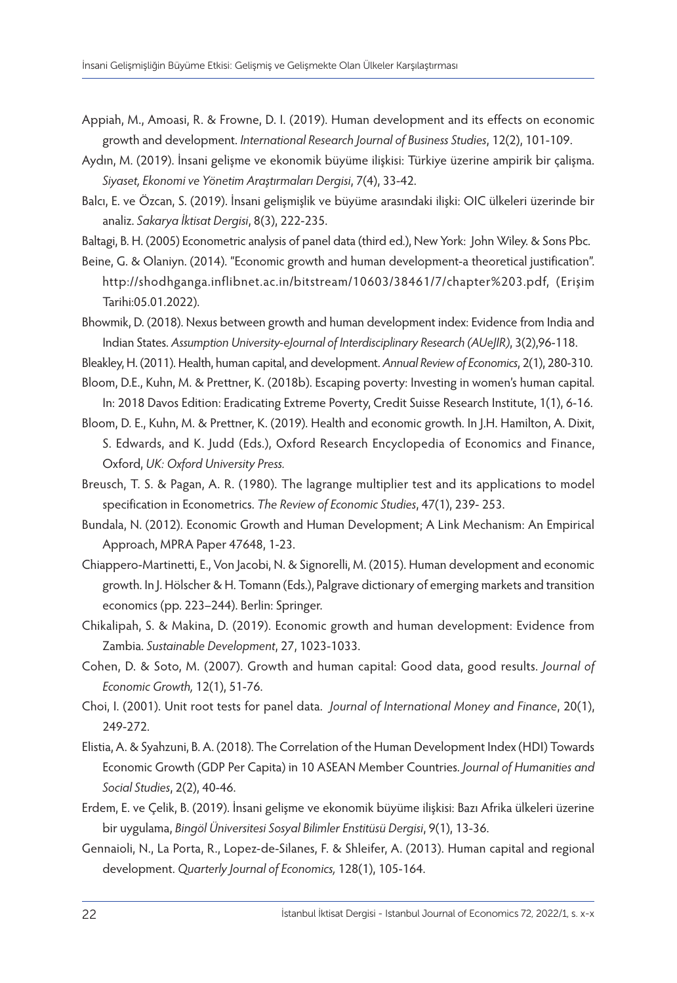- Appiah, M., Amoasi, R. & Frowne, D. I. (2019). Human development and its effects on economic growth and development. *International Research Journal of Business Studies*, 12(2), 101-109.
- Aydın, M. (2019). İnsani gelişme ve ekonomik büyüme ilişkisi: Türkiye üzerine ampirik bir çalişma. *Siyaset, Ekonomi ve Yönetim Araştırmaları Dergisi*, 7(4), 33-42.
- Balcı, E. ve Özcan, S. (2019). İnsani gelişmişlik ve büyüme arasındaki ilişki: OIC ülkeleri üzerinde bir analiz. *Sakarya İktisat Dergisi*, 8(3), 222-235.
- Baltagi, B. H. (2005) Econometric analysis of panel data (third ed.), New York: John Wiley. & Sons Pbc.
- Beine, G. & Olaniyn. (2014). "Economic growth and human development-a theoretical justification". [http://shodhganga.inflibnet.ac.in/bitstream/10603/38461/7/chapter%203.pdf,](http://shodhganga.inflibnet.ac.in/bitstream/10603/38461/7/chapter%203.pdf) (Erişim Tarihi:05.01.2022).
- Bhowmik, D. (2018). Nexus between growth and human development index: Evidence from India and Indian States. *Assumption University-eJournal of Interdisciplinary Research (AUeJIR)*, 3(2),96-118.
- Bleakley, H. (2011). Health, human capital, and development. *Annual Review of Economics*, 2(1), 280-310.
- Bloom, D.E., Kuhn, M. & Prettner, K. (2018b). Escaping poverty: Investing in women's human capital. In: 2018 Davos Edition: Eradicating Extreme Poverty, Credit Suisse Research Institute, 1(1), 6-16.
- Bloom, D. E., Kuhn, M. & Prettner, K. (2019). Health and economic growth. In J.H. Hamilton, A. Dixit, S. Edwards, and K. Judd (Eds.), Oxford Research Encyclopedia of Economics and Finance, Oxford, *UK: Oxford University Press.*
- Breusch, T. S. & Pagan, A. R. (1980). The lagrange multiplier test and its applications to model specification in Econometrics. *The Review of Economic Studies*, 47(1), 239- 253.
- Bundala, N. (2012). Economic Growth and Human Development; A Link Mechanism: An Empirical Approach, MPRA Paper 47648, 1-23.
- Chiappero-Martinetti, E., Von Jacobi, N. & Signorelli, M. (2015). Human development and economic growth. In J. Hölscher & H. Tomann (Eds.), Palgrave dictionary of emerging markets and transition economics (pp. 223–244). Berlin: Springer.
- Chikalipah, S. & Makina, D. (2019). Economic growth and human development: Evidence from Zambia. *Sustainable Development*, 27, 1023-1033.
- Cohen, D. & Soto, M. (2007). Growth and human capital: Good data, good results. *Journal of Economic Growth,* 12(1), 51-76.
- Choi, I. (2001). Unit root tests for panel data. *Journal of International Money and Finance*, 20(1), 249-272.
- Elistia, A. & Syahzuni, B. A. (2018). The Correlation of the Human Development Index (HDI) Towards Economic Growth (GDP Per Capita) in 10 ASEAN Member Countries. *Journal of Humanities and Social Studies*, 2(2), 40-46.
- Erdem, E. ve Çelik, B. (2019). İnsani gelişme ve ekonomik büyüme ilişkisi: Bazı Afrika ülkeleri üzerine bir uygulama, *Bingöl Üniversitesi Sosyal Bilimler Enstitüsü Dergisi*, 9(1), 13-36.
- Gennaioli, N., La Porta, R., Lopez-de-Silanes, F. & Shleifer, A. (2013). Human capital and regional development. *Quarterly Journal of Economics,* 128(1), 105-164.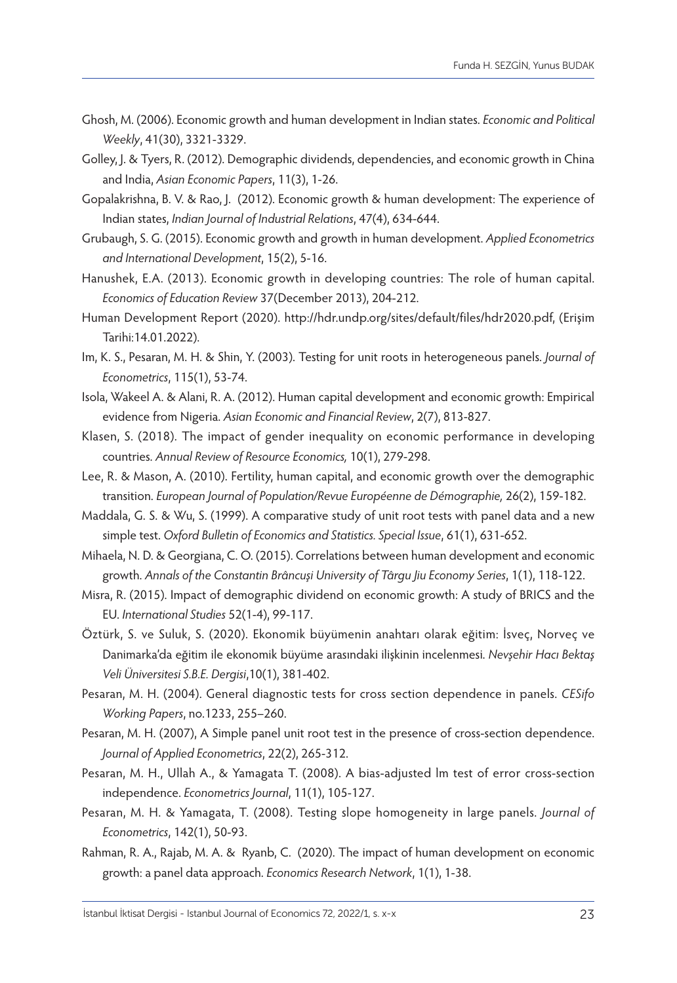- Ghosh, M. (2006). Economic growth and human development in Indian states. *Economic and Political Weekly*, 41(30), 3321-3329.
- Golley, J. & Tyers, R. (2012). Demographic dividends, dependencies, and economic growth in China and India, *Asian Economic Papers*, 11(3), 1-26.
- Gopalakrishna, B. V. & Rao, J. (2012). Economic growth & human development: The experience of Indian states, *Indian Journal of Industrial Relations*, 47(4), 634-644.
- Grubaugh, S. G. (2015). Economic growth and growth in human development. *Applied Econometrics and International Development*, 15(2), 5-16.
- Hanushek, E.A. (2013). Economic growth in developing countries: The role of human capital. *Economics of Education Review* 37(December 2013), 204-212.
- Human Development Report (2020). [http://hdr.undp.org/sites/default/files/hdr2020.pdf,](http://hdr.undp.org/sites/default/files/hdr2020.pdf) (Erişim Tarihi:14.01.2022).
- Im, K. S., Pesaran, M. H. & Shin, Y. (2003). Testing for unit roots in heterogeneous panels. *Journal of Econometrics*, 115(1), 53-74.
- Isola, Wakeel A. & Alani, R. A. (2012). Human capital development and economic growth: Empirical evidence from Nigeria. *Asian Economic and Financial Review*, 2(7), 813-827.
- Klasen, S. (2018). The impact of gender inequality on economic performance in developing countries. *Annual Review of Resource Economics,* 10(1), 279-298.
- Lee, R. & Mason, A. (2010). Fertility, human capital, and economic growth over the demographic transition. *European Journal of Population/Revue Européenne de Démographie,* 26(2), 159-182.
- Maddala, G. S. & Wu, S. (1999). A comparative study of unit root tests with panel data and a new simple test. *Oxford Bulletin of Economics and Statistics. Special Issue*, 61(1), 631-652.
- Mihaela, N. D. & Georgiana, C. O. (2015). Correlations between human development and economic growth. *Annals of the Constantin Brâncuşi University of Târgu Jiu Economy Series*, 1(1), 118-122.
- Misra, R. (2015). Impact of demographic dividend on economic growth: A study of BRICS and the EU. *International Studies* 52(1-4), 99-117.
- Öztürk, S. ve Suluk, S. (2020). Ekonomik büyümenin anahtarı olarak eğitim: İsveç, Norveç ve Danimarka'da eğitim ile ekonomik büyüme arasındaki ilişkinin incelenmesi. *Nevşehir Hacı Bektaş Veli Üniversitesi S.B.E. Dergisi*,10(1), 381-402.
- Pesaran, M. H. (2004). General diagnostic tests for cross section dependence in panels. *CESifo Working Papers*, no.1233, 255–260.
- Pesaran, M. H. (2007), A Simple panel unit root test in the presence of cross-section dependence. *Journal of Applied Econometrics*, 22(2), 265-312.
- Pesaran, M. H., Ullah A., & Yamagata T. (2008). A bias-adjusted lm test of error cross-section independence. *Econometrics Journal*, 11(1), 105-127.
- Pesaran, M. H. & Yamagata, T. (2008). Testing slope homogeneity in large panels. *Journal of Econometrics*, 142(1), 50-93.
- Rahman, R. A., Rajab, M. A. & Ryanb, C. (2020). The impact of human development on economic growth: a panel data approach. *Economics Research Network*, 1(1), 1-38.